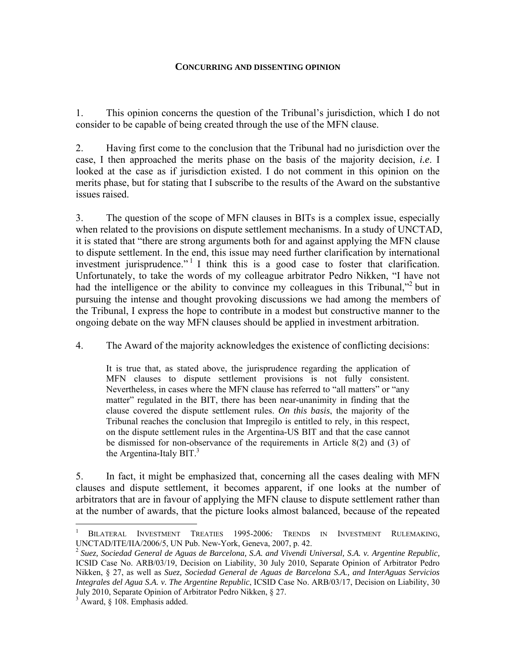### **CONCURRING AND DISSENTING OPINION**

1. This opinion concerns the question of the Tribunal's jurisdiction, which I do not consider to be capable of being created through the use of the MFN clause.

2. Having first come to the conclusion that the Tribunal had no jurisdiction over the case, I then approached the merits phase on the basis of the majority decision, *i.e*. I looked at the case as if jurisdiction existed. I do not comment in this opinion on the merits phase, but for stating that I subscribe to the results of the Award on the substantive issues raised.

3. The question of the scope of MFN clauses in BITs is a complex issue, especially when related to the provisions on dispute settlement mechanisms. In a study of UNCTAD, it is stated that "there are strong arguments both for and against applying the MFN clause to dispute settlement. In the end, this issue may need further clarification by international investment jurisprudence.<sup>" I</sup> I think this is a good case to foster that clarification. Unfortunately, to take the words of my colleague arbitrator Pedro Nikken, "I have not had the intelligence or the ability to convince my colleagues in this Tribunal,"<sup>2</sup> but in pursuing the intense and thought provoking discussions we had among the members of the Tribunal, I express the hope to contribute in a modest but constructive manner to the ongoing debate on the way MFN clauses should be applied in investment arbitration.

4. The Award of the majority acknowledges the existence of conflicting decisions:

It is true that, as stated above, the jurisprudence regarding the application of MFN clauses to dispute settlement provisions is not fully consistent. Nevertheless, in cases where the MFN clause has referred to "all matters" or "any matter" regulated in the BIT, there has been near-unanimity in finding that the clause covered the dispute settlement rules. *On this basis*, the majority of the Tribunal reaches the conclusion that Impregilo is entitled to rely, in this respect, on the dispute settlement rules in the Argentina-US BIT and that the case cannot be dismissed for non-observance of the requirements in Article 8(2) and (3) of the Argentina-Italy BIT. $3$ 

5. In fact, it might be emphasized that, concerning all the cases dealing with MFN clauses and dispute settlement, it becomes apparent, if one looks at the number of arbitrators that are in favour of applying the MFN clause to dispute settlement rather than at the number of awards, that the picture looks almost balanced, because of the repeated

<sup>1</sup> BILATERAL INVESTMENT TREATIES 1995-2006*:* TRENDS IN INVESTMENT RULEMAKING, UNCTAD/ITE/IIA/2006/5, UN Pub. New-York, Geneva, 2007, p. 42.

<sup>2</sup> *Suez, Sociedad General de Aguas de Barcelona, S.A. and Vivendi Universal, S.A. v. Argentine Republic,*  ICSID Case No. ARB/03/19, Decision on Liability, 30 July 2010, Separate Opinion of Arbitrator Pedro Nikken, § 27, as well as *Suez, Sociedad General de Aguas de Barcelona S.A., and InterAguas Servicios Integrales del Agua S.A. v. The Argentine Republic*, ICSID Case No. ARB/03/17, Decision on Liability, 30 July 2010, Separate Opinion of Arbitrator Pedro Nikken, § 27.

<sup>&</sup>lt;sup>3</sup> Award, § 108. Emphasis added.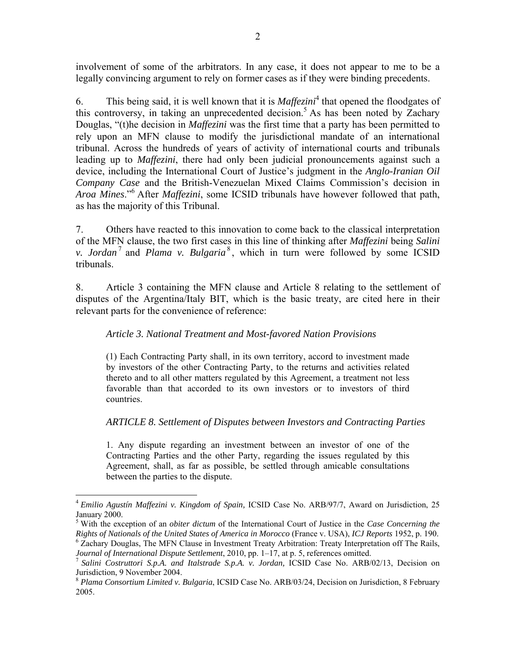involvement of some of the arbitrators. In any case, it does not appear to me to be a legally convincing argument to rely on former cases as if they were binding precedents.

6. This being said, it is well known that it is  $Maffezini<sup>4</sup>$  that opened the floodgates of this controversy, in taking an unprecedented decision.<sup>5</sup> As has been noted by Zachary Douglas, "(t)he decision in *Maffezini* was the first time that a party has been permitted to rely upon an MFN clause to modify the jurisdictional mandate of an international tribunal. Across the hundreds of years of activity of international courts and tribunals leading up to *Maffezini*, there had only been judicial pronouncements against such a device, including the International Court of Justice's judgment in the *Anglo-Iranian Oil Company Case* and the British-Venezuelan Mixed Claims Commission's decision in *Aroa Mines*."<sup>6</sup> After *Maffezini*, some ICSID tribunals have however followed that path, as has the majority of this Tribunal.

7. Others have reacted to this innovation to come back to the classical interpretation of the MFN clause, the two first cases in this line of thinking after *Maffezini* being *Salini v. Jordan*<sup>7</sup> and *Plama v. Bulgaria*<sup>8</sup>, which in turn were followed by some ICSID tribunals.

8. Article 3 containing the MFN clause and Article 8 relating to the settlement of disputes of the Argentina/Italy BIT, which is the basic treaty, are cited here in their relevant parts for the convenience of reference:

## *Article 3. National Treatment and Most-favored Nation Provisions*

(1) Each Contracting Party shall, in its own territory, accord to investment made by investors of the other Contracting Party, to the returns and activities related thereto and to all other matters regulated by this Agreement, a treatment not less favorable than that accorded to its own investors or to investors of third countries.

### *ARTICLE 8. Settlement of Disputes between Investors and Contracting Parties*

1. Any dispute regarding an investment between an investor of one of the Contracting Parties and the other Party, regarding the issues regulated by this Agreement, shall, as far as possible, be settled through amicable consultations between the parties to the dispute.

<sup>4</sup> *Emilio Agustín Maffezini v. Kingdom of Spain,* ICSID Case No. ARB/97/7, Award on Jurisdiction, 25 January 2000.

<sup>5</sup> With the exception of an *obiter dictum* of the International Court of Justice in the *Case Concerning the Rights of Nationals of the United States of America in Morocco* (France v. USA), *ICJ Reports* 1952, p. 190. <sup>6</sup> Zachary Douglas, The MFN Clause in Investment Treaty Arbitration: Treaty Interpretation off The Rails,

*Journal of International Dispute Settlement*, 2010, pp. 1–17, at p. 5, references omitted.<br><sup>7</sup> *Salini Costruttori S.p.A. and Italstrade S.p.A. v. Jordan, ICSID Case No. ARB/02/13, Decision on* Jurisdiction, 9 November 2004.

<sup>8</sup> *Plama Consortium Limited v. Bulgaria*, ICSID Case No. ARB/03/24, Decision on Jurisdiction, 8 February 2005.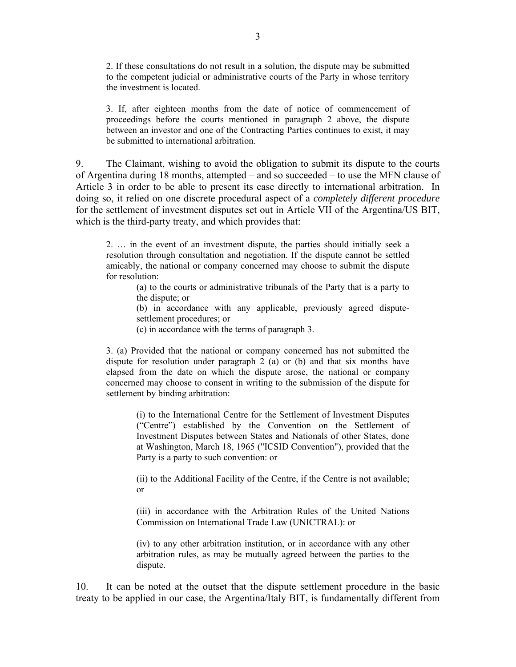2. If these consultations do not result in a solution, the dispute may be submitted to the competent judicial or administrative courts of the Party in whose territory the investment is located.

3. If, after eighteen months from the date of notice of commencement of proceedings before the courts mentioned in paragraph 2 above, the dispute between an investor and one of the Contracting Parties continues to exist, it may be submitted to international arbitration.

9. The Claimant, wishing to avoid the obligation to submit its dispute to the courts of Argentina during 18 months, attempted – and so succeeded – to use the MFN clause of Article 3 in order to be able to present its case directly to international arbitration. In doing so, it relied on one discrete procedural aspect of a *completely different procedure* for the settlement of investment disputes set out in Article VII of the Argentina/US BIT, which is the third-party treaty, and which provides that:

2. … in the event of an investment dispute, the parties should initially seek a resolution through consultation and negotiation. If the dispute cannot be settled amicably, the national or company concerned may choose to submit the dispute for resolution:

(a) to the courts or administrative tribunals of the Party that is a party to the dispute; or

(b) in accordance with any applicable, previously agreed disputesettlement procedures; or

(c) in accordance with the terms of paragraph 3.

3. (a) Provided that the national or company concerned has not submitted the dispute for resolution under paragraph 2 (a) or (b) and that six months have elapsed from the date on which the dispute arose, the national or company concerned may choose to consent in writing to the submission of the dispute for settlement by binding arbitration:

(i) to the International Centre for the Settlement of Investment Disputes ("Centre") established by the Convention on the Settlement of Investment Disputes between States and Nationals of other States, done at Washington, March 18, 1965 ("ICSID Convention"), provided that the Party is a party to such convention: or

(ii) to the Additional Facility of the Centre, if the Centre is not available; or

(iii) in accordance with the Arbitration Rules of the United Nations Commission on International Trade Law (UNICTRAL): or

(iv) to any other arbitration institution, or in accordance with any other arbitration rules, as may be mutually agreed between the parties to the dispute.

10. It can be noted at the outset that the dispute settlement procedure in the basic treaty to be applied in our case, the Argentina/Italy BIT, is fundamentally different from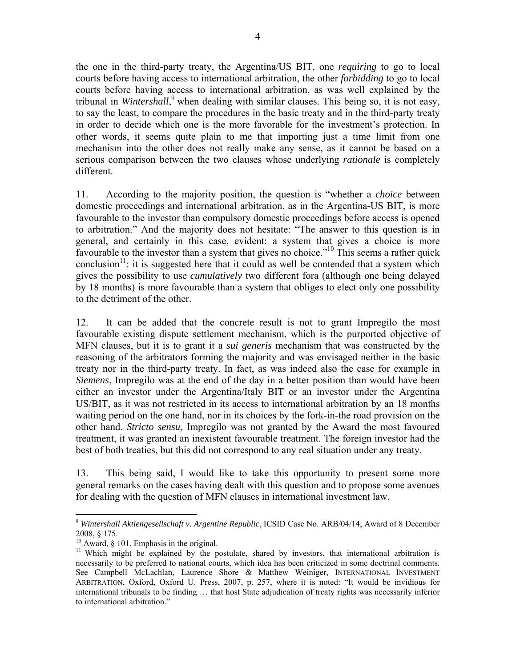the one in the third-party treaty, the Argentina/US BIT, one *requiring* to go to local courts before having access to international arbitration, the other *forbidding* to go to local courts before having access to international arbitration, as was well explained by the tribunal in *Wintershall*,<sup>9</sup> when dealing with similar clauses. This being so, it is not easy, to say the least, to compare the procedures in the basic treaty and in the third-party treaty in order to decide which one is the more favorable for the investment's protection. In other words, it seems quite plain to me that importing just a time limit from one mechanism into the other does not really make any sense, as it cannot be based on a serious comparison between the two clauses whose underlying *rationale* is completely different.

11. According to the majority position, the question is "whether a *choice* between domestic proceedings and international arbitration, as in the Argentina-US BIT, is more favourable to the investor than compulsory domestic proceedings before access is opened to arbitration." And the majority does not hesitate: "The answer to this question is in general, and certainly in this case, evident: a system that gives a choice is more favourable to the investor than a system that gives no choice.<sup>"10</sup> This seems a rather quick conclusion<sup>11</sup>: it is suggested here that it could as well be contended that a system which gives the possibility to use *cumulatively* two different fora (although one being delayed by 18 months) is more favourable than a system that obliges to elect only one possibility to the detriment of the other.

12. It can be added that the concrete result is not to grant Impregilo the most favourable existing dispute settlement mechanism, which is the purported objective of MFN clauses, but it is to grant it a *sui generis* mechanism that was constructed by the reasoning of the arbitrators forming the majority and was envisaged neither in the basic treaty nor in the third-party treaty. In fact, as was indeed also the case for example in *Siemens*, Impregilo was at the end of the day in a better position than would have been either an investor under the Argentina/Italy BIT or an investor under the Argentina US/BIT, as it was not restricted in its access to international arbitration by an 18 months waiting period on the one hand, nor in its choices by the fork-in-the road provision on the other hand. *Stricto sensu*, Impregilo was not granted by the Award the most favoured treatment, it was granted an inexistent favourable treatment. The foreign investor had the best of both treaties, but this did not correspond to any real situation under any treaty.

13. This being said, I would like to take this opportunity to present some more general remarks on the cases having dealt with this question and to propose some avenues for dealing with the question of MFN clauses in international investment law.

1

<sup>9</sup> *Wintershall Aktiengesellschaft v. Argentine Republic*, ICSID Case No. ARB/04/14, Award of 8 December 2008, § 175.

<sup>&</sup>lt;sup>10</sup> Award, § 101. Emphasis in the original.

<sup>&</sup>lt;sup>11</sup> Which might be explained by the postulate, shared by investors, that international arbitration is necessarily to be preferred to national courts, which idea has been criticized in some doctrinal comments. See Campbell McLachlan, Laurence Shore *&* Matthew Weiniger, INTERNATIONAL INVESTMENT ARBITRATION, Oxford, Oxford U. Press, 2007, p. 257, where it is noted: "It would be invidious for international tribunals to be finding … that host State adjudication of treaty rights was necessarily inferior to international arbitration."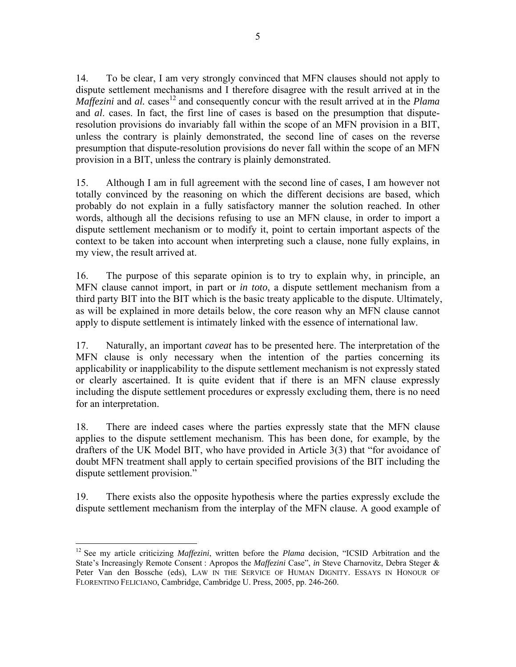14. To be clear, I am very strongly convinced that MFN clauses should not apply to dispute settlement mechanisms and I therefore disagree with the result arrived at in the *Maffezini* and *al.* cases<sup>12</sup> and consequently concur with the result arrived at in the *Plama* and *al*. cases. In fact, the first line of cases is based on the presumption that disputeresolution provisions do invariably fall within the scope of an MFN provision in a BIT, unless the contrary is plainly demonstrated, the second line of cases on the reverse presumption that dispute-resolution provisions do never fall within the scope of an MFN provision in a BIT, unless the contrary is plainly demonstrated.

15. Although I am in full agreement with the second line of cases, I am however not totally convinced by the reasoning on which the different decisions are based, which probably do not explain in a fully satisfactory manner the solution reached. In other words, although all the decisions refusing to use an MFN clause, in order to import a dispute settlement mechanism or to modify it, point to certain important aspects of the context to be taken into account when interpreting such a clause, none fully explains, in my view, the result arrived at.

16. The purpose of this separate opinion is to try to explain why, in principle, an MFN clause cannot import, in part or *in toto*, a dispute settlement mechanism from a third party BIT into the BIT which is the basic treaty applicable to the dispute. Ultimately, as will be explained in more details below, the core reason why an MFN clause cannot apply to dispute settlement is intimately linked with the essence of international law.

17. Naturally, an important *caveat* has to be presented here. The interpretation of the MFN clause is only necessary when the intention of the parties concerning its applicability or inapplicability to the dispute settlement mechanism is not expressly stated or clearly ascertained. It is quite evident that if there is an MFN clause expressly including the dispute settlement procedures or expressly excluding them, there is no need for an interpretation.

18. There are indeed cases where the parties expressly state that the MFN clause applies to the dispute settlement mechanism. This has been done, for example, by the drafters of the UK Model BIT, who have provided in Article 3(3) that "for avoidance of doubt MFN treatment shall apply to certain specified provisions of the BIT including the dispute settlement provision."

19. There exists also the opposite hypothesis where the parties expressly exclude the dispute settlement mechanism from the interplay of the MFN clause. A good example of

 $\overline{a}$ 12 See my article criticizing *Maffezini*, written before the *Plama* decision, "ICSID Arbitration and the State's Increasingly Remote Consent : Apropos the *Maffezini* Case", *in* Steve Charnovitz, Debra Steger & Peter Van den Bossche (eds), LAW IN THE SERVICE OF HUMAN DIGNITY. ESSAYS IN HONOUR OF FLORENTINO FELICIANO, Cambridge, Cambridge U. Press, 2005, pp. 246-260.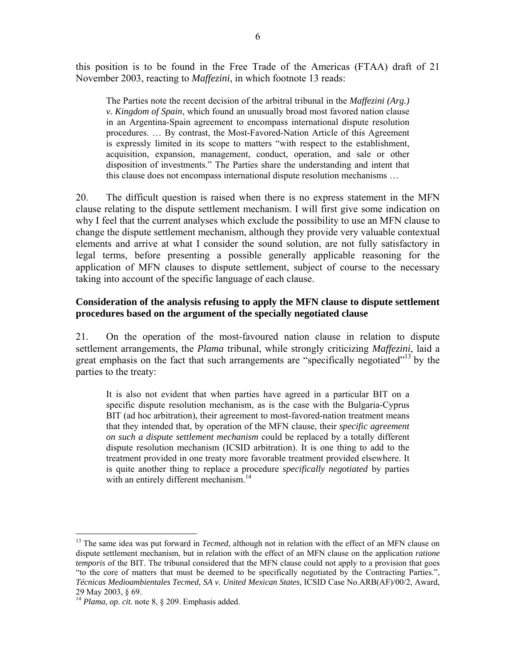this position is to be found in the Free Trade of the Americas (FTAA) draft of 21 November 2003, reacting to *Maffezini*, in which footnote 13 reads:

The Parties note the recent decision of the arbitral tribunal in the *Maffezini (Arg.) v. Kingdom of Spain*, which found an unusually broad most favored nation clause in an Argentina-Spain agreement to encompass international dispute resolution procedures. … By contrast, the Most-Favored-Nation Article of this Agreement is expressly limited in its scope to matters "with respect to the establishment, acquisition, expansion, management, conduct, operation, and sale or other disposition of investments." The Parties share the understanding and intent that this clause does not encompass international dispute resolution mechanisms …

20. The difficult question is raised when there is no express statement in the MFN clause relating to the dispute settlement mechanism. I will first give some indication on why I feel that the current analyses which exclude the possibility to use an MFN clause to change the dispute settlement mechanism, although they provide very valuable contextual elements and arrive at what I consider the sound solution, are not fully satisfactory in legal terms, before presenting a possible generally applicable reasoning for the application of MFN clauses to dispute settlement, subject of course to the necessary taking into account of the specific language of each clause.

## **Consideration of the analysis refusing to apply the MFN clause to dispute settlement procedures based on the argument of the specially negotiated clause**

21. On the operation of the most-favoured nation clause in relation to dispute settlement arrangements, the *Plama* tribunal, while strongly criticizing *Maffezini*, laid a great emphasis on the fact that such arrangements are "specifically negotiated"<sup>13</sup> by the parties to the treaty:

It is also not evident that when parties have agreed in a particular BIT on a specific dispute resolution mechanism, as is the case with the Bulgaria-Cyprus BIT (ad hoc arbitration), their agreement to most-favored-nation treatment means that they intended that, by operation of the MFN clause, their *specific agreement on such a dispute settlement mechanism* could be replaced by a totally different dispute resolution mechanism (ICSID arbitration). It is one thing to add to the treatment provided in one treaty more favorable treatment provided elsewhere. It is quite another thing to replace a procedure *specifically negotiated* by parties with an entirely different mechanism.<sup>14</sup>

<sup>&</sup>lt;sup>13</sup> The same idea was put forward in *Tecmed*, although not in relation with the effect of an MFN clause on dispute settlement mechanism, but in relation with the effect of an MFN clause on the application *ratione temporis* of the BIT. The tribunal considered that the MFN clause could not apply to a provision that goes "to the core of matters that must be deemed to be specifically negotiated by the Contracting Parties.", *Técnicas Medioambientales Tecmed, SA v. United Mexican States*, ICSID Case No.ARB(AF)/00/2, Award, 29 May 2003, § 69.

<sup>14</sup> *Plama*, *op. cit.* note 8, § 209. Emphasis added.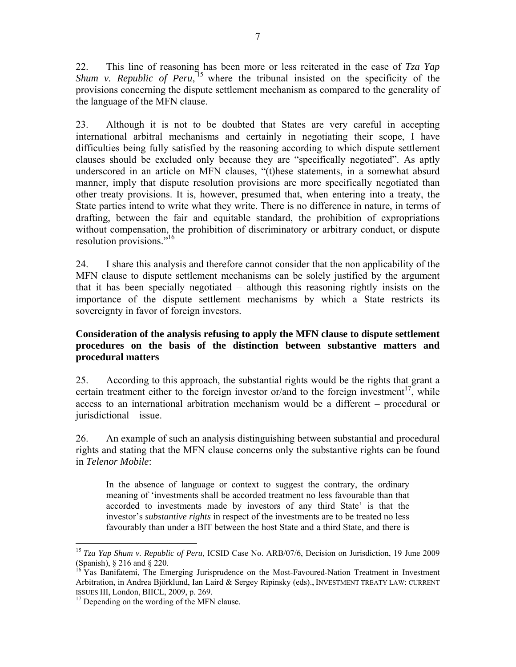22. This line of reasoning has been more or less reiterated in the case of *Tza Yap Shum v. Republic of Peru*,  $^{15}$  where the tribunal insisted on the specificity of the provisions concerning the dispute settlement mechanism as compared to the generality of the language of the MFN clause.

23. Although it is not to be doubted that States are very careful in accepting international arbitral mechanisms and certainly in negotiating their scope, I have difficulties being fully satisfied by the reasoning according to which dispute settlement clauses should be excluded only because they are "specifically negotiated". As aptly underscored in an article on MFN clauses, "(t)hese statements, in a somewhat absurd manner, imply that dispute resolution provisions are more specifically negotiated than other treaty provisions. It is, however, presumed that, when entering into a treaty, the State parties intend to write what they write. There is no difference in nature, in terms of drafting, between the fair and equitable standard, the prohibition of expropriations without compensation, the prohibition of discriminatory or arbitrary conduct, or dispute resolution provisions."<sup>16</sup>

24. I share this analysis and therefore cannot consider that the non applicability of the MFN clause to dispute settlement mechanisms can be solely justified by the argument that it has been specially negotiated – although this reasoning rightly insists on the importance of the dispute settlement mechanisms by which a State restricts its sovereignty in favor of foreign investors.

## **Consideration of the analysis refusing to apply the MFN clause to dispute settlement procedures on the basis of the distinction between substantive matters and procedural matters**

25. According to this approach, the substantial rights would be the rights that grant a certain treatment either to the foreign investor or/and to the foreign investment<sup>17</sup>, while access to an international arbitration mechanism would be a different – procedural or jurisdictional – issue.

26. An example of such an analysis distinguishing between substantial and procedural rights and stating that the MFN clause concerns only the substantive rights can be found in *Telenor Mobile*:

In the absence of language or context to suggest the contrary, the ordinary meaning of 'investments shall be accorded treatment no less favourable than that accorded to investments made by investors of any third State' is that the investor's *substantive rights* in respect of the investments are to be treated no less favourably than under a BlT between the host State and a third State, and there is

 $\overline{a}$ <sup>15</sup> *Tza Yap Shum v. Republic of Peru*, ICSID Case No. ARB/07/6, Decision on Jurisdiction, 19 June 2009 (Spanish), § 216 and § 220.

<sup>&</sup>lt;sup>16</sup> Yas Banifatemi, The Emerging Jurisprudence on the Most-Favoured-Nation Treatment in Investment Arbitration, in Andrea Björklund, Ian Laird & Sergey Ripinsky (eds)., INVESTMENT TREATY LAW: CURRENT ISSUES III, London, BIICL, 2009, p. 269. <sup>17</sup> Depending on the wording of the MFN clause.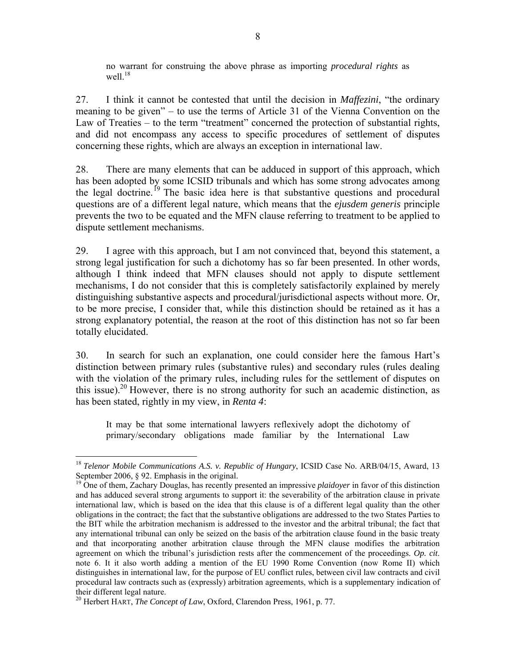no warrant for construing the above phrase as importing *procedural rights* as well $18$ 

27. I think it cannot be contested that until the decision in *Maffezini*, "the ordinary meaning to be given" – to use the terms of Article 31 of the Vienna Convention on the Law of Treaties – to the term "treatment" concerned the protection of substantial rights, and did not encompass any access to specific procedures of settlement of disputes concerning these rights, which are always an exception in international law.

28. There are many elements that can be adduced in support of this approach, which has been adopted by some ICSID tribunals and which has some strong advocates among the legal doctrine.<sup>19</sup> The basic idea here is that substantive questions and procedural questions are of a different legal nature, which means that the *ejusdem generis* principle prevents the two to be equated and the MFN clause referring to treatment to be applied to dispute settlement mechanisms.

29. I agree with this approach, but I am not convinced that, beyond this statement, a strong legal justification for such a dichotomy has so far been presented. In other words, although I think indeed that MFN clauses should not apply to dispute settlement mechanisms, I do not consider that this is completely satisfactorily explained by merely distinguishing substantive aspects and procedural/jurisdictional aspects without more. Or, to be more precise, I consider that, while this distinction should be retained as it has a strong explanatory potential, the reason at the root of this distinction has not so far been totally elucidated.

30. In search for such an explanation, one could consider here the famous Hart's distinction between primary rules (substantive rules) and secondary rules (rules dealing with the violation of the primary rules, including rules for the settlement of disputes on this issue).<sup>20</sup> However, there is no strong authority for such an academic distinction, as has been stated, rightly in my view, in *Renta 4*:

It may be that some international lawyers reflexively adopt the dichotomy of primary/secondary obligations made familiar by the International Law

<sup>18</sup> *Telenor Mobile Communications A.S. v. Republic of Hungary*, ICSID Case No. ARB/04/15, Award, 13 September 2006, § 92. Emphasis in the original.

<sup>19</sup> One of them, Zachary Douglas, has recently presented an impressive *plaidoyer* in favor of this distinction and has adduced several strong arguments to support it: the severability of the arbitration clause in private international law, which is based on the idea that this clause is of a different legal quality than the other obligations in the contract; the fact that the substantive obligations are addressed to the two States Parties to the BIT while the arbitration mechanism is addressed to the investor and the arbitral tribunal; the fact that any international tribunal can only be seized on the basis of the arbitration clause found in the basic treaty and that incorporating another arbitration clause through the MFN clause modifies the arbitration agreement on which the tribunal's jurisdiction rests after the commencement of the proceedings. *Op. cit*. note 6. It it also worth adding a mention of the EU 1990 Rome Convention (now Rome II) which distinguishes in international law, for the purpose of EU conflict rules, between civil law contracts and civil procedural law contracts such as (expressly) arbitration agreements, which is a supplementary indication of their different legal nature.

<sup>20</sup> Herbert HART, *The Concept of Law*, Oxford, Clarendon Press, 1961, p. 77.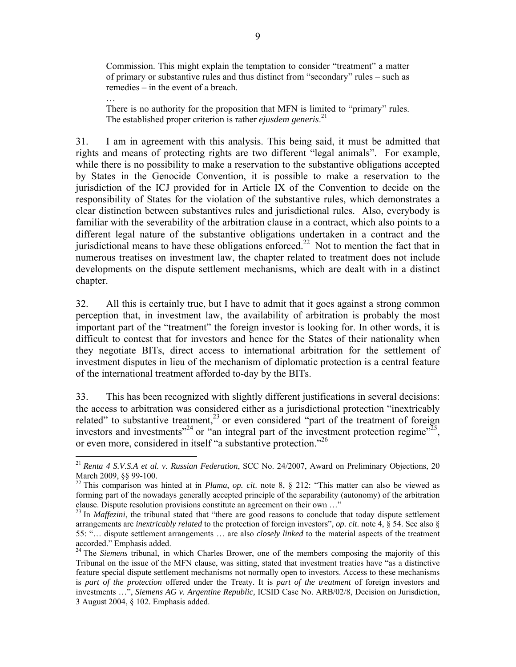Commission. This might explain the temptation to consider "treatment" a matter of primary or substantive rules and thus distinct from "secondary" rules – such as remedies – in the event of a breach.

There is no authority for the proposition that MFN is limited to "primary" rules. The established proper criterion is rather *ejusdem generis*. 21

…

 $\overline{a}$ 

31. I am in agreement with this analysis. This being said, it must be admitted that rights and means of protecting rights are two different "legal animals". For example, while there is no possibility to make a reservation to the substantive obligations accepted by States in the Genocide Convention, it is possible to make a reservation to the jurisdiction of the ICJ provided for in Article IX of the Convention to decide on the responsibility of States for the violation of the substantive rules, which demonstrates a clear distinction between substantives rules and jurisdictional rules. Also, everybody is familiar with the severability of the arbitration clause in a contract, which also points to a different legal nature of the substantive obligations undertaken in a contract and the jurisdictional means to have these obligations enforced.<sup>22</sup> Not to mention the fact that in numerous treatises on investment law, the chapter related to treatment does not include developments on the dispute settlement mechanisms, which are dealt with in a distinct chapter.

32. All this is certainly true, but I have to admit that it goes against a strong common perception that, in investment law, the availability of arbitration is probably the most important part of the "treatment" the foreign investor is looking for. In other words, it is difficult to contest that for investors and hence for the States of their nationality when they negotiate BITs, direct access to international arbitration for the settlement of investment disputes in lieu of the mechanism of diplomatic protection is a central feature of the international treatment afforded to-day by the BITs.

33. This has been recognized with slightly different justifications in several decisions: the access to arbitration was considered either as a jurisdictional protection "inextricably related" to substantive treatment,<sup>23</sup> or even considered "part of the treatment of foreign investors and investments<sup> $24$ </sup> or "an integral part of the investment protection regime"<sup>25</sup>, or even more, considered in itself "a substantive protection."<sup>26</sup>

<sup>21</sup> *Renta 4 S.V.S.A et al. v. Russian Federation*, SCC No. 24/2007, Award on Preliminary Objections, 20 March 2009, §§ 99-100.

 $22$  This comparison was hinted at in *Plama*, *op. cit.* note 8, § 212: "This matter can also be viewed as forming part of the nowadays generally accepted principle of the separability (autonomy) of the arbitration clause. Dispute resolution provisions constitute an agreement on their own …"

<sup>&</sup>lt;sup>23</sup> In *Maffezini*, the tribunal stated that "there are good reasons to conclude that today dispute settlement arrangements are *inextricably related* to the protection of foreign investors", *op. cit*. note 4, § 54. See also § 55: "… dispute settlement arrangements … are also *closely linked* to the material aspects of the treatment accorded." Emphasis added.

<sup>&</sup>lt;sup>24</sup> The *Siemens* tribunal, in which Charles Brower, one of the members composing the majority of this Tribunal on the issue of the MFN clause, was sitting, stated that investment treaties have "as a distinctive feature special dispute settlement mechanisms not normally open to investors. Access to these mechanisms is *part of the protection* offered under the Treaty. It is *part of the treatment* of foreign investors and investments …", *Siemens AG v. Argentine Republic,* ICSID Case No. ARB/02/8, Decision on Jurisdiction, 3 August 2004, § 102. Emphasis added.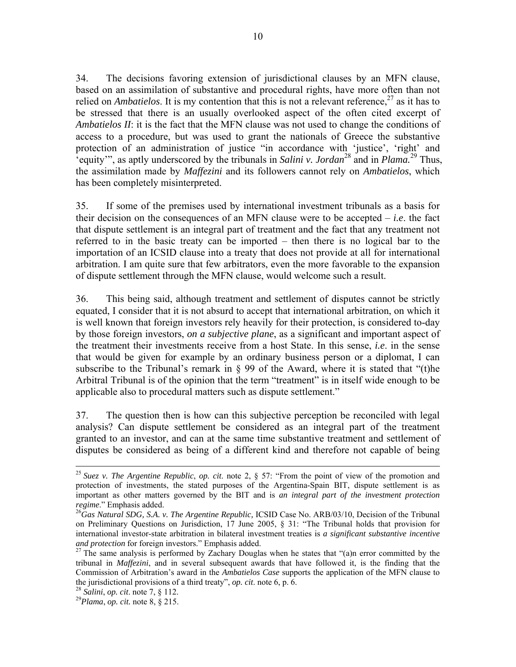34. The decisions favoring extension of jurisdictional clauses by an MFN clause, based on an assimilation of substantive and procedural rights, have more often than not relied on *Ambatielos*. It is my contention that this is not a relevant reference,  $27$  as it has to be stressed that there is an usually overlooked aspect of the often cited excerpt of *Ambatielos II*: it is the fact that the MFN clause was not used to change the conditions of access to a procedure, but was used to grant the nationals of Greece the substantive protection of an administration of justice "in accordance with 'justice', 'right' and 'equity'", as aptly underscored by the tribunals in *Salini v. Jordan*<sup>28</sup> and in *Plama.*<sup>29</sup> Thus, the assimilation made by *Maffezini* and its followers cannot rely on *Ambatielos*, which has been completely misinterpreted.

35. If some of the premises used by international investment tribunals as a basis for their decision on the consequences of an MFN clause were to be accepted – *i.e*. the fact that dispute settlement is an integral part of treatment and the fact that any treatment not referred to in the basic treaty can be imported – then there is no logical bar to the importation of an ICSID clause into a treaty that does not provide at all for international arbitration. I am quite sure that few arbitrators, even the more favorable to the expansion of dispute settlement through the MFN clause, would welcome such a result.

36. This being said, although treatment and settlement of disputes cannot be strictly equated, I consider that it is not absurd to accept that international arbitration, on which it is well known that foreign investors rely heavily for their protection, is considered to-day by those foreign investors, *on a subjective plane*, as a significant and important aspect of the treatment their investments receive from a host State. In this sense, *i.e*. in the sense that would be given for example by an ordinary business person or a diplomat, I can subscribe to the Tribunal's remark in  $\S$  99 of the Award, where it is stated that "(t)he Arbitral Tribunal is of the opinion that the term "treatment" is in itself wide enough to be applicable also to procedural matters such as dispute settlement."

37. The question then is how can this subjective perception be reconciled with legal analysis? Can dispute settlement be considered as an integral part of the treatment granted to an investor, and can at the same time substantive treatment and settlement of disputes be considered as being of a different kind and therefore not capable of being

 <sup>25</sup> *Suez v. The Argentine Republic*, *op. cit*. note 2, § 57: "From the point of view of the promotion and protection of investments, the stated purposes of the Argentina-Spain BIT, dispute settlement is as important as other matters governed by the BIT and is *an integral part of the investment protection regime.*" Emphasis added.<br><sup>26</sup>Gas Natural SDG, S.A. v. The Argentine Republic, ICSID Case No. ARB/03/10, Decision of the Tribunal

on Preliminary Questions on Jurisdiction, 17 June 2005, § 31: "The Tribunal holds that provision for international investor-state arbitration in bilateral investment treaties is *a significant substantive incentive and protection* for foreign investors." Emphasis added.<br><sup>27</sup> The same analysis is performed by Zachary Douglas when he states that "(a)n error committed by the

tribunal in *Maffezini*, and in several subsequent awards that have followed it, is the finding that the Commission of Arbitration's award in the *Ambatielos Case* supports the application of the MFN clause to the jurisdictional provisions of a third treaty", *op. cit*. note 6, p. 6. 28 *Salini*, *op. cit*. note 7, § 112. 29*Plama*, *op. cit.* note 8, § 215.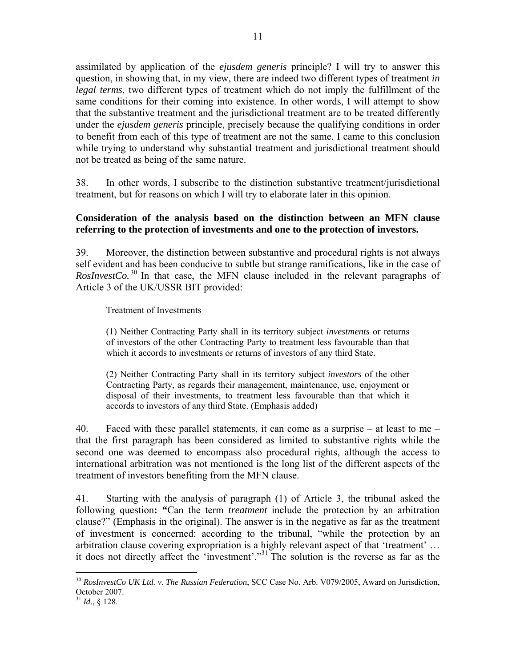assimilated by application of the *ejusdem generis* principle? I will try to answer this question, in showing that, in my view, there are indeed two different types of treatment *in legal terms*, two different types of treatment which do not imply the fulfillment of the same conditions for their coming into existence. In other words, I will attempt to show that the substantive treatment and the jurisdictional treatment are to be treated differently under the *ejusdem generis* principle, precisely because the qualifying conditions in order to benefit from each of this type of treatment are not the same. I came to this conclusion while trying to understand why substantial treatment and jurisdictional treatment should not be treated as being of the same nature.

38. In other words, I subscribe to the distinction substantive treatment/jurisdictional treatment, but for reasons on which I will try to elaborate later in this opinion.

## **Consideration of the analysis based on the distinction between an MFN clause referring to the protection of investments and one to the protection of investors.**

39. Moreover, the distinction between substantive and procedural rights is not always self evident and has been conducive to subtle but strange ramifications, like in the case of *RosInvestCo.*<sup>30</sup> In that case, the MFN clause included in the relevant paragraphs of Article 3 of the UK/USSR BIT provided:

Treatment of Investments

(1) Neither Contracting Party shall in its territory subject *investments* or returns of investors of the other Contracting Party to treatment less favourable than that which it accords to investments or returns of investors of any third State.

(2) Neither Contracting Party shall in its territory subject *investors* of the other Contracting Party, as regards their management, maintenance, use, enjoyment or disposal of their investments, to treatment less favourable than that which it accords to investors of any third State. (Emphasis added)

40. Faced with these parallel statements, it can come as a surprise – at least to me – that the first paragraph has been considered as limited to substantive rights while the second one was deemed to encompass also procedural rights, although the access to international arbitration was not mentioned is the long list of the different aspects of the treatment of investors benefiting from the MFN clause.

41. Starting with the analysis of paragraph (1) of Article 3, the tribunal asked the following question**: "**Can the term *treatment* include the protection by an arbitration clause?" (Emphasis in the original). The answer is in the negative as far as the treatment of investment is concerned: according to the tribunal, "while the protection by an arbitration clause covering expropriation is a highly relevant aspect of that 'treatment' … it does not directly affect the 'investment'."31 The solution is the reverse as far as the

<sup>30</sup> *RosInvestCo UK Ltd. v. The Russian Federation*, SCC Case No. Arb. V079/2005, Award on Jurisdiction, October 2007.

 $^{31}$  *Id.*, § 128.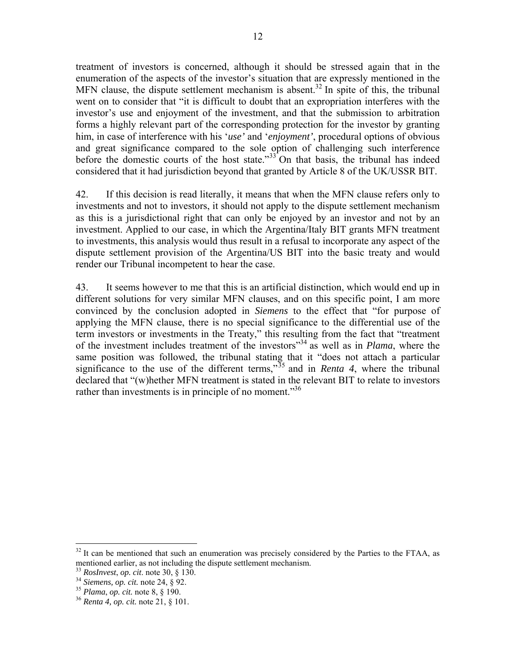treatment of investors is concerned, although it should be stressed again that in the enumeration of the aspects of the investor's situation that are expressly mentioned in the MFN clause, the dispute settlement mechanism is absent.<sup>32</sup> In spite of this, the tribunal went on to consider that "it is difficult to doubt that an expropriation interferes with the investor's use and enjoyment of the investment, and that the submission to arbitration forms a highly relevant part of the corresponding protection for the investor by granting him, in case of interference with his '*use'* and '*enjoyment'*, procedural options of obvious and great significance compared to the sole option of challenging such interference before the domestic courts of the host state."<sup>33</sup> On that basis, the tribunal has indeed considered that it had jurisdiction beyond that granted by Article 8 of the UK/USSR BIT.

42. If this decision is read literally, it means that when the MFN clause refers only to investments and not to investors, it should not apply to the dispute settlement mechanism as this is a jurisdictional right that can only be enjoyed by an investor and not by an investment. Applied to our case, in which the Argentina/Italy BIT grants MFN treatment to investments, this analysis would thus result in a refusal to incorporate any aspect of the dispute settlement provision of the Argentina/US BIT into the basic treaty and would render our Tribunal incompetent to hear the case.

43. It seems however to me that this is an artificial distinction, which would end up in different solutions for very similar MFN clauses, and on this specific point, I am more convinced by the conclusion adopted in *Siemens* to the effect that "for purpose of applying the MFN clause, there is no special significance to the differential use of the term investors or investments in the Treaty," this resulting from the fact that "treatment of the investment includes treatment of the investors"34 as well as in *Plama*, where the same position was followed, the tribunal stating that it "does not attach a particular significance to the use of the different terms,"<sup>35</sup> and in *Renta 4*, where the tribunal declared that "(w)hether MFN treatment is stated in the relevant BIT to relate to investors rather than investments is in principle of no moment. $^{356}$ 

 $32$  It can be mentioned that such an enumeration was precisely considered by the Parties to the FTAA, as mentioned earlier, as not including the dispute settlement mechanism.

<sup>33</sup> *RosInvest*, *op. cit*. note 30, § 130. 34 *Siemens, op. cit.* note 24, § 92. 35 *Plama*, *op. cit.* note 8, § 190. 36 *Renta 4, op. cit.* note 21, § 101.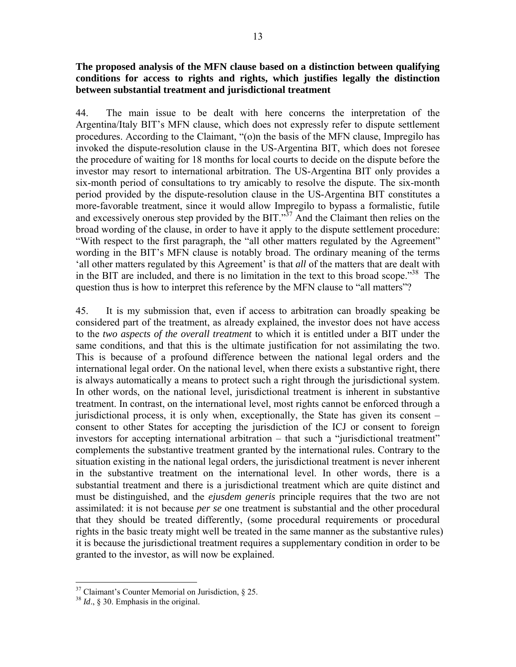### **The proposed analysis of the MFN clause based on a distinction between qualifying conditions for access to rights and rights, which justifies legally the distinction between substantial treatment and jurisdictional treatment**

44. The main issue to be dealt with here concerns the interpretation of the Argentina/Italy BIT's MFN clause, which does not expressly refer to dispute settlement procedures. According to the Claimant, "(o)n the basis of the MFN clause, Impregilo has invoked the dispute-resolution clause in the US-Argentina BIT, which does not foresee the procedure of waiting for 18 months for local courts to decide on the dispute before the investor may resort to international arbitration. The US-Argentina BIT only provides a six-month period of consultations to try amicably to resolve the dispute. The six-month period provided by the dispute-resolution clause in the US-Argentina BIT constitutes a more-favorable treatment, since it would allow Impregilo to bypass a formalistic, futile and excessively onerous step provided by the BIT."<sup>37</sup> And the Claimant then relies on the broad wording of the clause, in order to have it apply to the dispute settlement procedure: "With respect to the first paragraph, the "all other matters regulated by the Agreement" wording in the BIT's MFN clause is notably broad. The ordinary meaning of the terms 'all other matters regulated by this Agreement' is that *all* of the matters that are dealt with in the BIT are included, and there is no limitation in the text to this broad scope."<sup>38</sup> The question thus is how to interpret this reference by the MFN clause to "all matters"?

45. It is my submission that, even if access to arbitration can broadly speaking be considered part of the treatment, as already explained, the investor does not have access to the *two aspects of the overall treatment* to which it is entitled under a BIT under the same conditions, and that this is the ultimate justification for not assimilating the two. This is because of a profound difference between the national legal orders and the international legal order. On the national level, when there exists a substantive right, there is always automatically a means to protect such a right through the jurisdictional system. In other words, on the national level, jurisdictional treatment is inherent in substantive treatment. In contrast, on the international level, most rights cannot be enforced through a jurisdictional process, it is only when, exceptionally, the State has given its consent – consent to other States for accepting the jurisdiction of the ICJ or consent to foreign investors for accepting international arbitration – that such a "jurisdictional treatment" complements the substantive treatment granted by the international rules. Contrary to the situation existing in the national legal orders, the jurisdictional treatment is never inherent in the substantive treatment on the international level. In other words, there is a substantial treatment and there is a jurisdictional treatment which are quite distinct and must be distinguished, and the *ejusdem generis* principle requires that the two are not assimilated: it is not because *per se* one treatment is substantial and the other procedural that they should be treated differently, (some procedural requirements or procedural rights in the basic treaty might well be treated in the same manner as the substantive rules) it is because the jurisdictional treatment requires a supplementary condition in order to be granted to the investor, as will now be explained.

 $37$  Claimant's Counter Memorial on Jurisdiction, § 25.

<sup>38</sup> *Id*., § 30. Emphasis in the original.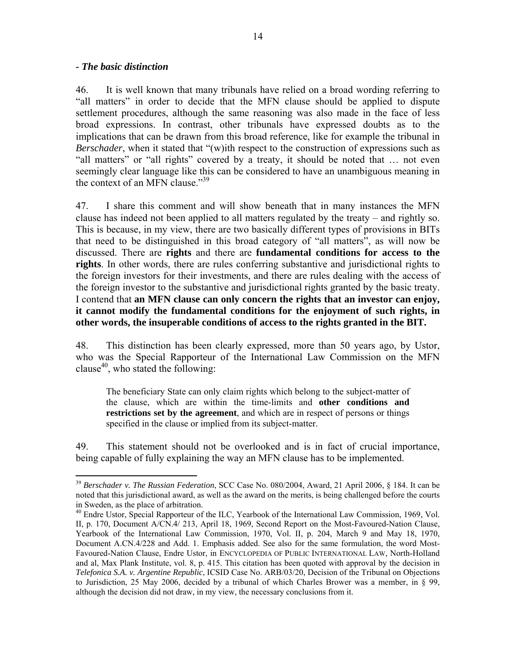### *- The basic distinction*

 $\overline{a}$ 

46. It is well known that many tribunals have relied on a broad wording referring to "all matters" in order to decide that the MFN clause should be applied to dispute settlement procedures, although the same reasoning was also made in the face of less broad expressions. In contrast, other tribunals have expressed doubts as to the implications that can be drawn from this broad reference, like for example the tribunal in *Berschader*, when it stated that "(w)ith respect to the construction of expressions such as "all matters" or "all rights" covered by a treaty, it should be noted that … not even seemingly clear language like this can be considered to have an unambiguous meaning in the context of an MFN clause."39

47. I share this comment and will show beneath that in many instances the MFN clause has indeed not been applied to all matters regulated by the treaty – and rightly so. This is because, in my view, there are two basically different types of provisions in BITs that need to be distinguished in this broad category of "all matters", as will now be discussed. There are **rights** and there are **fundamental conditions for access to the rights**. In other words, there are rules conferring substantive and jurisdictional rights to the foreign investors for their investments, and there are rules dealing with the access of the foreign investor to the substantive and jurisdictional rights granted by the basic treaty. I contend that **an MFN clause can only concern the rights that an investor can enjoy, it cannot modify the fundamental conditions for the enjoyment of such rights, in other words, the insuperable conditions of access to the rights granted in the BIT.** 

48. This distinction has been clearly expressed, more than 50 years ago, by Ustor, who was the Special Rapporteur of the International Law Commission on the MFN clause<sup>40</sup>, who stated the following:

The beneficiary State can only claim rights which belong to the subject-matter of the clause, which are within the time-limits and **other conditions and restrictions set by the agreement**, and which are in respect of persons or things specified in the clause or implied from its subject-matter.

49. This statement should not be overlooked and is in fact of crucial importance, being capable of fully explaining the way an MFN clause has to be implemented.

<sup>39</sup> *Berschader v. The Russian Federation*, SCC Case No. 080/2004, Award, 21 April 2006, § 184. It can be noted that this jurisdictional award, as well as the award on the merits, is being challenged before the courts in Sweden, as the place of arbitration.

<sup>&</sup>lt;sup>40</sup> Endre Ustor, Special Rapporteur of the ILC, Yearbook of the International Law Commission, 1969, Vol. II, p. 170, Document A/CN.4/ 213, April 18, 1969, Second Report on the Most-Favoured-Nation Clause, Yearbook of the International Law Commission, 1970, Vol. II, p. 204, March 9 and May 18, 1970, Document A.CN.4/228 and Add. 1. Emphasis added. See also for the same formulation, the word Most-Favoured-Nation Clause, Endre Ustor, in ENCYCLOPEDIA OF PUBLIC INTERNATIONAL LAW, North-Holland and al, Max Plank Institute, vol. 8, p. 415. This citation has been quoted with approval by the decision in *Telefonica S.A. v. Argentine Republic*, ICSID Case No. ARB/03/20, Decision of the Tribunal on Objections to Jurisdiction, 25 May 2006, decided by a tribunal of which Charles Brower was a member, in § 99, although the decision did not draw, in my view, the necessary conclusions from it.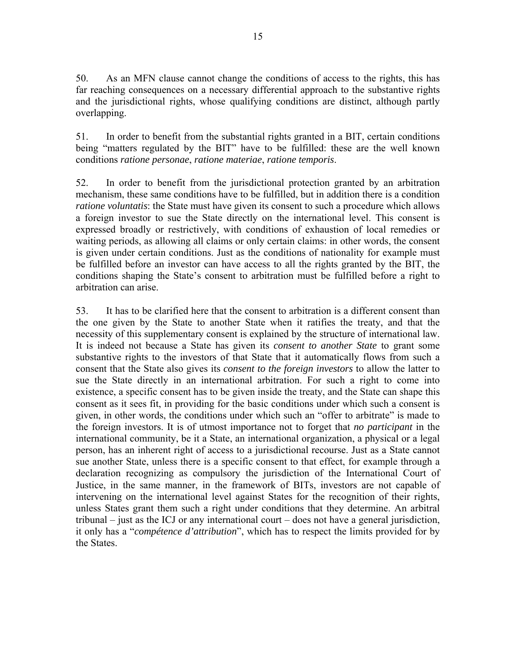50. As an MFN clause cannot change the conditions of access to the rights, this has far reaching consequences on a necessary differential approach to the substantive rights and the jurisdictional rights, whose qualifying conditions are distinct, although partly overlapping.

51. In order to benefit from the substantial rights granted in a BIT, certain conditions being "matters regulated by the BIT" have to be fulfilled: these are the well known conditions *ratione personae*, *ratione materiae*, *ratione temporis*.

52. In order to benefit from the jurisdictional protection granted by an arbitration mechanism, these same conditions have to be fulfilled, but in addition there is a condition *ratione voluntatis*: the State must have given its consent to such a procedure which allows a foreign investor to sue the State directly on the international level. This consent is expressed broadly or restrictively, with conditions of exhaustion of local remedies or waiting periods, as allowing all claims or only certain claims: in other words, the consent is given under certain conditions. Just as the conditions of nationality for example must be fulfilled before an investor can have access to all the rights granted by the BIT, the conditions shaping the State's consent to arbitration must be fulfilled before a right to arbitration can arise.

53. It has to be clarified here that the consent to arbitration is a different consent than the one given by the State to another State when it ratifies the treaty, and that the necessity of this supplementary consent is explained by the structure of international law. It is indeed not because a State has given its *consent to another State* to grant some substantive rights to the investors of that State that it automatically flows from such a consent that the State also gives its *consent to the foreign investors* to allow the latter to sue the State directly in an international arbitration. For such a right to come into existence, a specific consent has to be given inside the treaty, and the State can shape this consent as it sees fit, in providing for the basic conditions under which such a consent is given, in other words, the conditions under which such an "offer to arbitrate" is made to the foreign investors. It is of utmost importance not to forget that *no participant* in the international community, be it a State, an international organization, a physical or a legal person, has an inherent right of access to a jurisdictional recourse. Just as a State cannot sue another State, unless there is a specific consent to that effect, for example through a declaration recognizing as compulsory the jurisdiction of the International Court of Justice, in the same manner, in the framework of BITs, investors are not capable of intervening on the international level against States for the recognition of their rights, unless States grant them such a right under conditions that they determine. An arbitral tribunal – just as the ICJ or any international court – does not have a general jurisdiction, it only has a "*compétence d'attribution*", which has to respect the limits provided for by the States.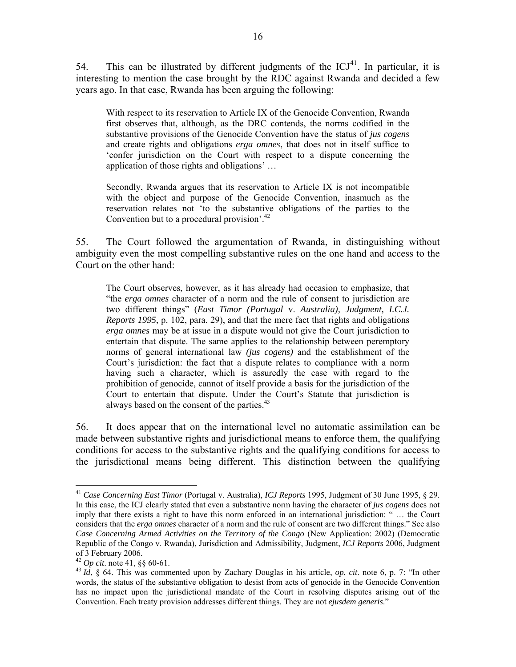54. This can be illustrated by different judgments of the  $ICJ<sup>41</sup>$ . In particular, it is interesting to mention the case brought by the RDC against Rwanda and decided a few years ago. In that case, Rwanda has been arguing the following:

With respect to its reservation to Article IX of the Genocide Convention, Rwanda first observes that, although, as the DRC contends, the norms codified in the substantive provisions of the Genocide Convention have the status of *jus cogens*  and create rights and obligations *erga omnes*, that does not in itself suffice to 'confer jurisdiction on the Court with respect to a dispute concerning the application of those rights and obligations' …

Secondly, Rwanda argues that its reservation to Article IX is not incompatible with the object and purpose of the Genocide Convention, inasmuch as the reservation relates not 'to the substantive obligations of the parties to the Convention but to a procedural provision<sup>'.42</sup>

55. The Court followed the argumentation of Rwanda, in distinguishing without ambiguity even the most compelling substantive rules on the one hand and access to the Court on the other hand:

The Court observes, however, as it has already had occasion to emphasize, that "the *erga omnes* character of a norm and the rule of consent to jurisdiction are two different things" (*East Timor (Portugal* v. *Australia), Judgment, I.C.J. Reports 1995*, p. 102, para. 29), and that the mere fact that rights and obligations *erga omnes* may be at issue in a dispute would not give the Court jurisdiction to entertain that dispute. The same applies to the relationship between peremptory norms of general international law *(jus cogens)* and the establishment of the Court's jurisdiction: the fact that a dispute relates to compliance with a norm having such a character, which is assuredly the case with regard to the prohibition of genocide, cannot of itself provide a basis for the jurisdiction of the Court to entertain that dispute. Under the Court's Statute that jurisdiction is always based on the consent of the parties.<sup>43</sup>

56. It does appear that on the international level no automatic assimilation can be made between substantive rights and jurisdictional means to enforce them, the qualifying conditions for access to the substantive rights and the qualifying conditions for access to the jurisdictional means being different. This distinction between the qualifying

<sup>41</sup> *Case Concerning East Timor* (Portugal v. Australia), *ICJ Reports* 1995, Judgment of 30 June 1995, § 29. In this case, the ICJ clearly stated that even a substantive norm having the character of *jus cogens* does not imply that there exists a right to have this norm enforced in an international jurisdiction: " … the Court considers that the *erga omnes* character of a norm and the rule of consent are two different things." See also *Case Concerning Armed Activities on the Territory of the Congo* (New Application: 2002) (Democratic Republic of the Congo v. Rwanda), Jurisdiction and Admissibility, Judgment, *ICJ Reports* 2006, Judgment of 3 February 2006.<br><sup>42</sup> *Op cit.* note 41, §§ 60-61.

 $^{43}$  *Id*, § 64. This was commented upon by Zachary Douglas in his article, *op. cit.* note 6, p. 7: "In other words, the status of the substantive obligation to desist from acts of genocide in the Genocide Convention has no impact upon the jurisdictional mandate of the Court in resolving disputes arising out of the Convention. Each treaty provision addresses different things. They are not *ejusdem generis*."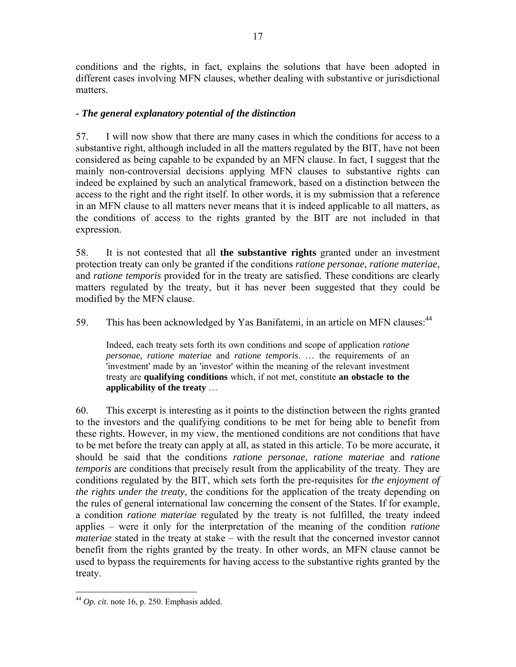conditions and the rights, in fact, explains the solutions that have been adopted in different cases involving MFN clauses, whether dealing with substantive or jurisdictional matters.

## *- The general explanatory potential of the distinction*

57. I will now show that there are many cases in which the conditions for access to a substantive right, although included in all the matters regulated by the BIT, have not been considered as being capable to be expanded by an MFN clause. In fact, I suggest that the mainly non-controversial decisions applying MFN clauses to substantive rights can indeed be explained by such an analytical framework, based on a distinction between the access to the right and the right itself. In other words, it is my submission that a reference in an MFN clause to all matters never means that it is indeed applicable to all matters, as the conditions of access to the rights granted by the BIT are not included in that expression.

58. It is not contested that all **the substantive rights** granted under an investment protection treaty can only be granted if the conditions *ratione personae*, *ratione materiae*, and *ratione temporis* provided for in the treaty are satisfied. These conditions are clearly matters regulated by the treaty, but it has never been suggested that they could be modified by the MFN clause.

59. This has been acknowledged by Yas Banifatemi, in an article on MFN clauses: <sup>44</sup>

Indeed, each treaty sets forth its own conditions and scope of application *ratione personae*, *ratione materiae* and *ratione temporis*. … the requirements of an 'investment' made by an 'investor' within the meaning of the relevant investment treaty are **qualifying conditions** which, if not met, constitute **an obstacle to the applicability of the treaty** …

60. This excerpt is interesting as it points to the distinction between the rights granted to the investors and the qualifying conditions to be met for being able to benefit from these rights. However, in my view, the mentioned conditions are not conditions that have to be met before the treaty can apply at all, as stated in this article. To be more accurate, it should be said that the conditions *ratione personae*, *ratione materiae* and *ratione temporis* are conditions that precisely result from the applicability of the treaty. They are conditions regulated by the BIT, which sets forth the pre-requisites for *the enjoyment of the rights under the treaty*, the conditions for the application of the treaty depending on the rules of general international law concerning the consent of the States. If for example, a condition *ratione materiae* regulated by the treaty is not fulfilled, the treaty indeed applies – were it only for the interpretation of the meaning of the condition *ratione materiae* stated in the treaty at stake – with the result that the concerned investor cannot benefit from the rights granted by the treaty. In other words, an MFN clause cannot be used to bypass the requirements for having access to the substantive rights granted by the treaty.

 $\overline{a}$ <sup>44</sup> *Op. cit*. note 16, p. 250. Emphasis added.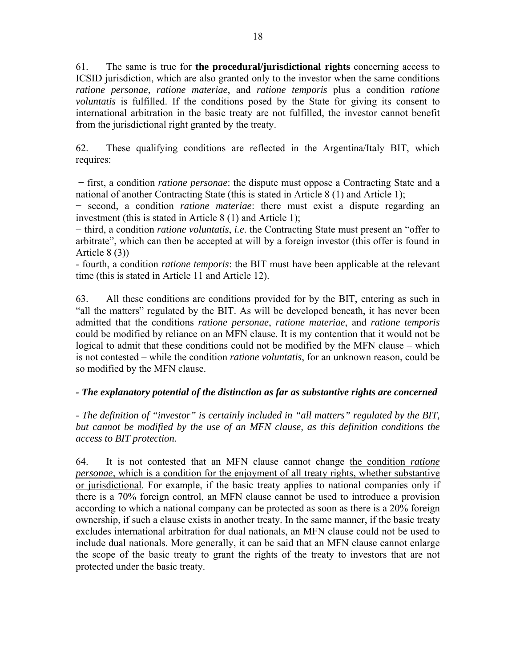61. The same is true for **the procedural/jurisdictional rights** concerning access to ICSID jurisdiction, which are also granted only to the investor when the same conditions *ratione personae*, *ratione materiae*, and *ratione temporis* plus a condition *ratione voluntatis* is fulfilled. If the conditions posed by the State for giving its consent to international arbitration in the basic treaty are not fulfilled, the investor cannot benefit from the jurisdictional right granted by the treaty.

62. These qualifying conditions are reflected in the Argentina/Italy BIT, which requires:

− first, a condition *ratione personae*: the dispute must oppose a Contracting State and a national of another Contracting State (this is stated in Article 8 (1) and Article 1);

− second, a condition *ratione materiae*: there must exist a dispute regarding an investment (this is stated in Article 8 (1) and Article 1);

− third, a condition *ratione voluntatis*, *i.e*. the Contracting State must present an "offer to arbitrate", which can then be accepted at will by a foreign investor (this offer is found in Article 8 (3))

- fourth, a condition *ratione temporis*: the BIT must have been applicable at the relevant time (this is stated in Article 11 and Article 12).

63. All these conditions are conditions provided for by the BIT, entering as such in "all the matters" regulated by the BIT. As will be developed beneath, it has never been admitted that the conditions *ratione personae*, *ratione materiae*, and *ratione temporis* could be modified by reliance on an MFN clause. It is my contention that it would not be logical to admit that these conditions could not be modified by the MFN clause – which is not contested – while the condition *ratione voluntatis*, for an unknown reason, could be so modified by the MFN clause.

# *- The explanatory potential of the distinction as far as substantive rights are concerned*

*- The definition of "investor" is certainly included in "all matters" regulated by the BIT, but cannot be modified by the use of an MFN clause, as this definition conditions the access to BIT protection.* 

64. It is not contested that an MFN clause cannot change the condition *ratione personae*, which is a condition for the enjoyment of all treaty rights, whether substantive or jurisdictional. For example, if the basic treaty applies to national companies only if there is a 70% foreign control, an MFN clause cannot be used to introduce a provision according to which a national company can be protected as soon as there is a 20% foreign ownership, if such a clause exists in another treaty. In the same manner, if the basic treaty excludes international arbitration for dual nationals, an MFN clause could not be used to include dual nationals. More generally, it can be said that an MFN clause cannot enlarge the scope of the basic treaty to grant the rights of the treaty to investors that are not protected under the basic treaty.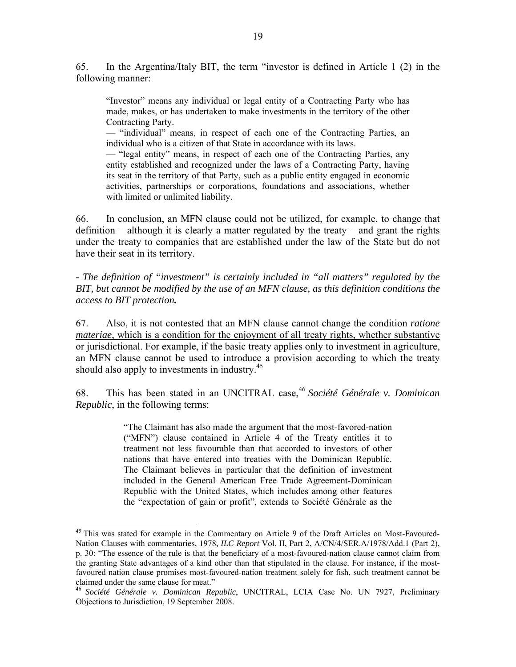65. In the Argentina/Italy BIT, the term "investor is defined in Article 1 (2) in the following manner:

"Investor" means any individual or legal entity of a Contracting Party who has made, makes, or has undertaken to make investments in the territory of the other Contracting Party.

— "individual" means, in respect of each one of the Contracting Parties, an individual who is a citizen of that State in accordance with its laws.

— "legal entity" means, in respect of each one of the Contracting Parties, any entity established and recognized under the laws of a Contracting Party, having its seat in the territory of that Party, such as a public entity engaged in economic activities, partnerships or corporations, foundations and associations, whether with limited or unlimited liability.

66. In conclusion, an MFN clause could not be utilized, for example, to change that definition – although it is clearly a matter regulated by the treaty – and grant the rights under the treaty to companies that are established under the law of the State but do not have their seat in its territory.

*- The definition of "investment" is certainly included in "all matters" regulated by the BIT, but cannot be modified by the use of an MFN clause, as this definition conditions the access to BIT protection.* 

67. Also, it is not contested that an MFN clause cannot change the condition *ratione materiae*, which is a condition for the enjoyment of all treaty rights, whether substantive or jurisdictional. For example, if the basic treaty applies only to investment in agriculture, an MFN clause cannot be used to introduce a provision according to which the treaty should also apply to investments in industry.<sup>45</sup>

68. This has been stated in an UNCITRAL case,<sup>46</sup> *Société Générale v. Dominican Republic*, in the following terms:

> "The Claimant has also made the argument that the most-favored-nation ("MFN") clause contained in Article 4 of the Treaty entitles it to treatment not less favourable than that accorded to investors of other nations that have entered into treaties with the Dominican Republic. The Claimant believes in particular that the definition of investment included in the General American Free Trade Agreement-Dominican Republic with the United States, which includes among other features the "expectation of gain or profit", extends to Société Générale as the

<sup>&</sup>lt;sup>45</sup> This was stated for example in the Commentary on Article 9 of the Draft Articles on Most-Favoured-Nation Clauses with commentaries, 1978*, ILC Report* Vol. II, Part 2, A/CN/4/SER.A/1978/Add.1 (Part 2), p. 30: "The essence of the rule is that the beneficiary of a most-favoured-nation clause cannot claim from the granting State advantages of a kind other than that stipulated in the clause. For instance, if the mostfavoured nation clause promises most-favoured-nation treatment solely for fish, such treatment cannot be claimed under the same clause for meat."

<sup>46</sup> *Société Générale v. Dominican Republic*, UNCITRAL, LCIA Case No. UN 7927, Preliminary Objections to Jurisdiction, 19 September 2008.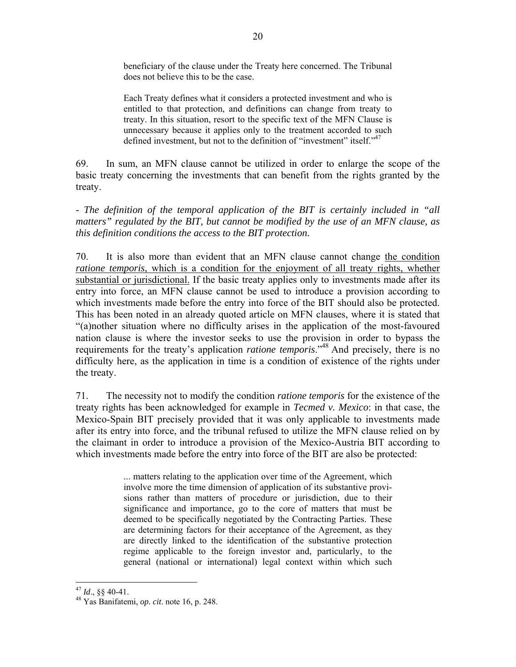beneficiary of the clause under the Treaty here concerned. The Tribunal does not believe this to be the case.

Each Treaty defines what it considers a protected investment and who is entitled to that protection, and definitions can change from treaty to treaty. In this situation, resort to the specific text of the MFN Clause is unnecessary because it applies only to the treatment accorded to such defined investment, but not to the definition of "investment" itself."<sup>47</sup>

69. In sum, an MFN clause cannot be utilized in order to enlarge the scope of the basic treaty concerning the investments that can benefit from the rights granted by the treaty.

*- The definition of the temporal application of the BIT is certainly included in "all matters" regulated by the BIT, but cannot be modified by the use of an MFN clause, as this definition conditions the access to the BIT protection.* 

70. It is also more than evident that an MFN clause cannot change the condition *ratione temporis*, which is a condition for the enjoyment of all treaty rights, whether substantial or jurisdictional. If the basic treaty applies only to investments made after its entry into force, an MFN clause cannot be used to introduce a provision according to which investments made before the entry into force of the BIT should also be protected. This has been noted in an already quoted article on MFN clauses, where it is stated that "(a)nother situation where no difficulty arises in the application of the most-favoured nation clause is where the investor seeks to use the provision in order to bypass the requirements for the treaty's application *ratione temporis*."48 And precisely, there is no difficulty here, as the application in time is a condition of existence of the rights under the treaty.

71. The necessity not to modify the condition *ratione temporis* for the existence of the treaty rights has been acknowledged for example in *Tecmed v. Mexico*: in that case, the Mexico-Spain BIT precisely provided that it was only applicable to investments made after its entry into force, and the tribunal refused to utilize the MFN clause relied on by the claimant in order to introduce a provision of the Mexico-Austria BIT according to which investments made before the entry into force of the BIT are also be protected:

> ... matters relating to the application over time of the Agreement, which involve more the time dimension of application of its substantive provisions rather than matters of procedure or jurisdiction, due to their significance and importance, go to the core of matters that must be deemed to be specifically negotiated by the Contracting Parties. These are determining factors for their acceptance of the Agreement, as they are directly linked to the identification of the substantive protection regime applicable to the foreign investor and, particularly, to the general (national or international) legal context within which such

 $\overline{a}$ 

<sup>47</sup> *Id*., §§ 40-41. 48 Yas Banifatemi, *op. cit*. note 16, p. 248.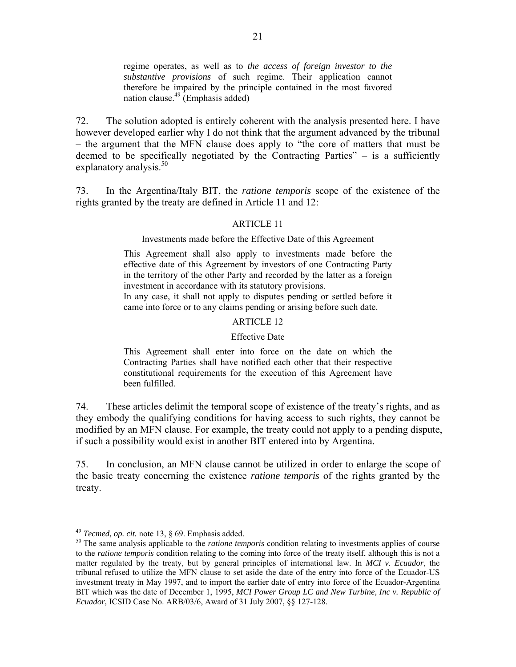regime operates, as well as to *the access of foreign investor to the substantive provisions* of such regime. Their application cannot therefore be impaired by the principle contained in the most favored nation clause.49 (Emphasis added)

72. The solution adopted is entirely coherent with the analysis presented here. I have however developed earlier why I do not think that the argument advanced by the tribunal – the argument that the MFN clause does apply to "the core of matters that must be deemed to be specifically negotiated by the Contracting Parties" – is a sufficiently explanatory analysis. $50$ 

73. In the Argentina/Italy BIT, the *ratione temporis* scope of the existence of the rights granted by the treaty are defined in Article 11 and 12:

#### ARTICLE 11

#### Investments made before the Effective Date of this Agreement

This Agreement shall also apply to investments made before the effective date of this Agreement by investors of one Contracting Party in the territory of the other Party and recorded by the latter as a foreign investment in accordance with its statutory provisions.

In any case, it shall not apply to disputes pending or settled before it came into force or to any claims pending or arising before such date.

#### ARTICLE 12

#### Effective Date

This Agreement shall enter into force on the date on which the Contracting Parties shall have notified each other that their respective constitutional requirements for the execution of this Agreement have been fulfilled.

74. These articles delimit the temporal scope of existence of the treaty's rights, and as they embody the qualifying conditions for having access to such rights, they cannot be modified by an MFN clause. For example, the treaty could not apply to a pending dispute, if such a possibility would exist in another BIT entered into by Argentina.

75. In conclusion, an MFN clause cannot be utilized in order to enlarge the scope of the basic treaty concerning the existence *ratione temporis* of the rights granted by the treaty.

<sup>&</sup>lt;sup>49</sup> *Tecmed, op. cit.* note 13, § 69. Emphasis added.<br><sup>50</sup> The same analysis applicable to the *ratione temporis* condition relating to investments applies of course to the *ratione temporis* condition relating to the coming into force of the treaty itself, although this is not a matter regulated by the treaty, but by general principles of international law. In *MCI v. Ecuador*, the tribunal refused to utilize the MFN clause to set aside the date of the entry into force of the Ecuador-US investment treaty in May 1997, and to import the earlier date of entry into force of the Ecuador-Argentina BIT which was the date of December 1, 1995, *MCI Power Group LC and New Turbine, Inc v. Republic of Ecuador,* ICSID Case No. ARB/03/6, Award of 31 July 2007, §§ 127-128.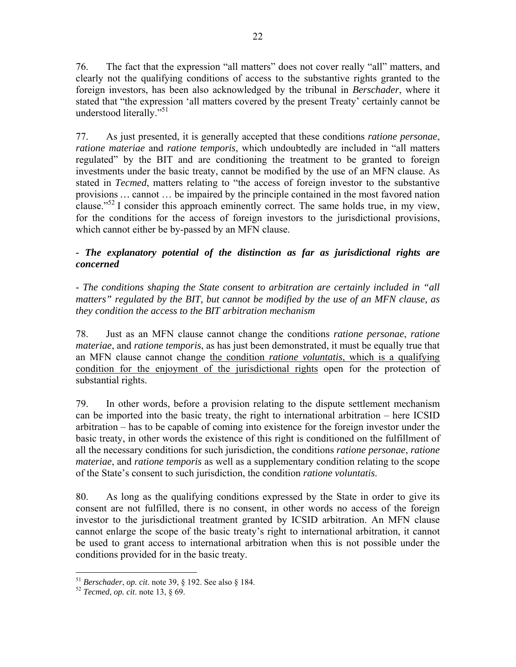76. The fact that the expression "all matters" does not cover really "all" matters, and clearly not the qualifying conditions of access to the substantive rights granted to the foreign investors, has been also acknowledged by the tribunal in *Berschader*, where it stated that "the expression 'all matters covered by the present Treaty' certainly cannot be understood literally."<sup>51</sup>

77. As just presented, it is generally accepted that these conditions *ratione personae*, *ratione materiae* and *ratione temporis*, which undoubtedly are included in "all matters regulated" by the BIT and are conditioning the treatment to be granted to foreign investments under the basic treaty, cannot be modified by the use of an MFN clause. As stated in *Tecmed*, matters relating to "the access of foreign investor to the substantive provisions *…* cannot … be impaired by the principle contained in the most favored nation clause."<sup>52</sup> I consider this approach eminently correct. The same holds true, in my view, for the conditions for the access of foreign investors to the jurisdictional provisions, which cannot either be by-passed by an MFN clause.

# *- The explanatory potential of the distinction as far as jurisdictional rights are concerned*

*- The conditions shaping the State consent to arbitration are certainly included in "all matters" regulated by the BIT, but cannot be modified by the use of an MFN clause, as they condition the access to the BIT arbitration mechanism* 

78. Just as an MFN clause cannot change the conditions *ratione personae*, *ratione materiae*, and *ratione temporis*, as has just been demonstrated, it must be equally true that an MFN clause cannot change the condition *ratione voluntatis*, which is a qualifying condition for the enjoyment of the jurisdictional rights open for the protection of substantial rights.

79. In other words, before a provision relating to the dispute settlement mechanism can be imported into the basic treaty, the right to international arbitration – here ICSID arbitration – has to be capable of coming into existence for the foreign investor under the basic treaty, in other words the existence of this right is conditioned on the fulfillment of all the necessary conditions for such jurisdiction, the conditions *ratione personae*, *ratione materiae*, and *ratione temporis* as well as a supplementary condition relating to the scope of the State's consent to such jurisdiction, the condition *ratione voluntatis*.

80. As long as the qualifying conditions expressed by the State in order to give its consent are not fulfilled, there is no consent, in other words no access of the foreign investor to the jurisdictional treatment granted by ICSID arbitration. An MFN clause cannot enlarge the scope of the basic treaty's right to international arbitration, it cannot be used to grant access to international arbitration when this is not possible under the conditions provided for in the basic treaty.

<sup>51</sup> *Berschader*, *op. cit*. note 39, § 192. See also § 184. 52 *Tecmed*, *op. cit*. note 13, § 69.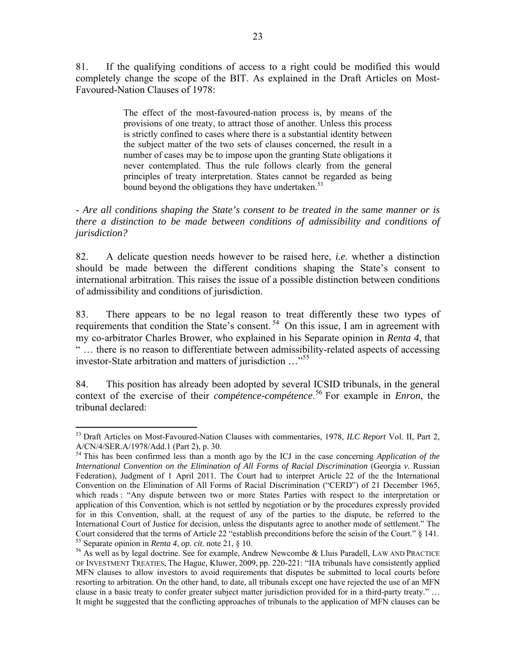81. If the qualifying conditions of access to a right could be modified this would completely change the scope of the BIT. As explained in the Draft Articles on Most-Favoured-Nation Clauses of 1978:

> The effect of the most-favoured-nation process is, by means of the provisions of one treaty, to attract those of another. Unless this process is strictly confined to cases where there is a substantial identity between the subject matter of the two sets of clauses concerned, the result in a number of cases may be to impose upon the granting State obligations it never contemplated. Thus the rule follows clearly from the general principles of treaty interpretation. States cannot be regarded as being bound beyond the obligations they have undertaken.<sup>53</sup>

- *Are all conditions shaping the State's consent to be treated in the same manner or is there a distinction to be made between conditions of admissibility and conditions of jurisdiction?*

82. A delicate question needs however to be raised here, *i.e.* whether a distinction should be made between the different conditions shaping the State's consent to international arbitration. This raises the issue of a possible distinction between conditions of admissibility and conditions of jurisdiction.

83. There appears to be no legal reason to treat differently these two types of requirements that condition the State's consent.<sup>54</sup> On this issue, I am in agreement with my co-arbitrator Charles Brower, who explained in his Separate opinion in *Renta 4*, that " … there is no reason to differentiate between admissibility-related aspects of accessing investor-State arbitration and matters of jurisdiction …"<sup>55</sup>

84. This position has already been adopted by several ICSID tribunals, in the general context of the exercise of their *compétence-compétence*. 56 For example in *Enron*, the tribunal declared:

<sup>1</sup> 53 Draft Articles on Most-Favoured-Nation Clauses with commentaries, 1978*, ILC Report* Vol. II, Part 2, A/CN/4/SER.A/1978/Add.1 (Part 2), p. 30.

<sup>&</sup>lt;sup>54</sup> This has been confirmed less than a month ago by the ICJ in the case concerning *Application of the International Convention on the Elimination of All Forms of Racial Discrimination* (Georgia *v.* Russian Federation), Judgment of 1 April 2011. The Court had to interpret Article 22 of the the International Convention on the Elimination of All Forms of Racial Discrimination ("CERD") of 21 December 1965, which reads : "Any dispute between two or more States Parties with respect to the interpretation or application of this Convention, which is not settled by negotiation or by the procedures expressly provided for in this Convention, shall, at the request of any of the parties to the dispute, be referred to the International Court of Justice for decision, unless the disputants agree to another mode of settlement." The Court considered that the terms of Article 22 "establish preconditions before the seisin of the Court." § 141.<br><sup>55</sup> Separate opinion in *Renta 4, op. cit.* note 21, § 10.<br><sup>56</sup> As well as by legal doctrine. See for example

OF INVESTMENT TREATIES, The Hague, Kluwer, 2009, pp. 220-221: "IIA tribunals have consistently applied MFN clauses to allow investors to avoid requirements that disputes be submitted to local courts before resorting to arbitration. On the other hand, to date, all tribunals except one have rejected the use of an MFN clause in a basic treaty to confer greater subject matter jurisdiction provided for in a third-party treaty." … It might be suggested that the conflicting approaches of tribunals to the application of MFN clauses can be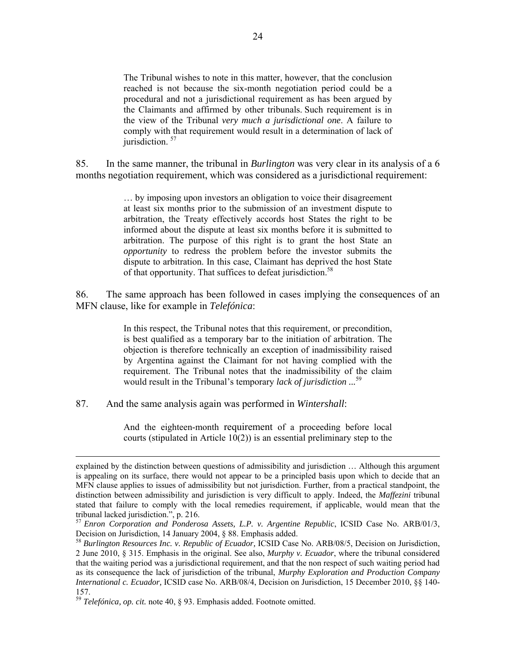The Tribunal wishes to note in this matter, however, that the conclusion reached is not because the six-month negotiation period could be a procedural and not a jurisdictional requirement as has been argued by the Claimants and affirmed by other tribunals. Such requirement is in the view of the Tribunal *very much a jurisdictional one*. A failure to comply with that requirement would result in a determination of lack of jurisdiction.  $57$ 

85. In the same manner, the tribunal in *Burlington* was very clear in its analysis of a 6 months negotiation requirement, which was considered as a jurisdictional requirement:

> … by imposing upon investors an obligation to voice their disagreement at least six months prior to the submission of an investment dispute to arbitration, the Treaty effectively accords host States the right to be informed about the dispute at least six months before it is submitted to arbitration. The purpose of this right is to grant the host State an *opportunity* to redress the problem before the investor submits the dispute to arbitration. In this case, Claimant has deprived the host State of that opportunity. That suffices to defeat jurisdiction.<sup>58</sup>

86. The same approach has been followed in cases implying the consequences of an MFN clause, like for example in *Telefónica*:

> In this respect, the Tribunal notes that this requirement, or precondition, is best qualified as a temporary bar to the initiation of arbitration. The objection is therefore technically an exception of inadmissibility raised by Argentina against the Claimant for not having complied with the requirement. The Tribunal notes that the inadmissibility of the claim would result in the Tribunal's temporary *lack of jurisdiction ...*<sup>59</sup>

87. And the same analysis again was performed in *Wintershall*:

And the eighteen-month requirement of a proceeding before local courts (stipulated in Article 10(2)) is an essential preliminary step to the

explained by the distinction between questions of admissibility and jurisdiction … Although this argument is appealing on its surface, there would not appear to be a principled basis upon which to decide that an MFN clause applies to issues of admissibility but not jurisdiction. Further, from a practical standpoint, the distinction between admissibility and jurisdiction is very difficult to apply. Indeed, the *Maffezini* tribunal stated that failure to comply with the local remedies requirement, if applicable, would mean that the tribunal lacked jurisdiction.", p. 216.

<sup>57</sup> *Enron Corporation and Ponderosa Assets, L.P. v. Argentine Republic*, ICSID Case No. ARB/01/3, Decision on Jurisdiction, 14 January 2004, § 88. Emphasis added.

<sup>58</sup> *Burlington Resources Inc. v. Republic of Ecuador,* ICSID Case No. ARB/08/5, Decision on Jurisdiction, 2 June 2010, § 315. Emphasis in the original. See also, *Murphy v. Ecuador*, where the tribunal considered that the waiting period was a jurisdictional requirement, and that the non respect of such waiting period had as its consequence the lack of jurisdiction of the tribunal, *Murphy Exploration and Production Company International c. Ecuador,* ICSID case No. ARB/08/4, Decision on Jurisdiction, 15 December 2010, §§ 140- 157.

<sup>59</sup> *Telefónica, op. cit.* note 40, § 93. Emphasis added. Footnote omitted.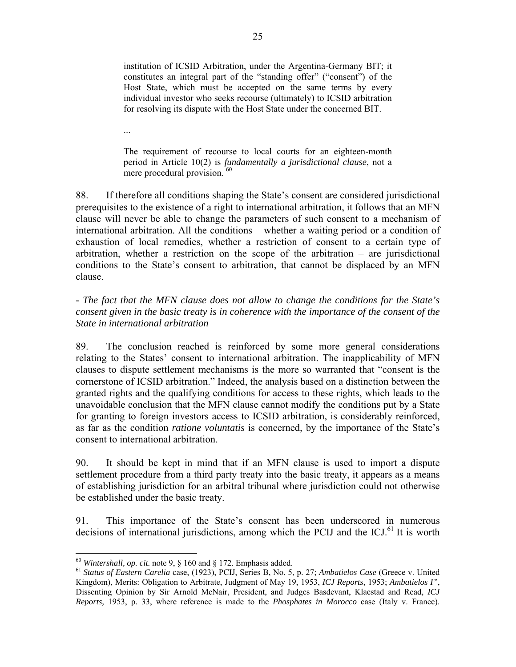institution of ICSID Arbitration, under the Argentina-Germany BIT; it constitutes an integral part of the "standing offer" ("consent") of the Host State, which must be accepted on the same terms by every individual investor who seeks recourse (ultimately) to ICSID arbitration for resolving its dispute with the Host State under the concerned BIT.

...

The requirement of recourse to local courts for an eighteen-month period in Article 10(2) is *fundamentally a jurisdictional clause*, not a mere procedural provision.<sup>60</sup>

88. If therefore all conditions shaping the State's consent are considered jurisdictional prerequisites to the existence of a right to international arbitration, it follows that an MFN clause will never be able to change the parameters of such consent to a mechanism of international arbitration. All the conditions – whether a waiting period or a condition of exhaustion of local remedies, whether a restriction of consent to a certain type of arbitration, whether a restriction on the scope of the arbitration – are jurisdictional conditions to the State's consent to arbitration, that cannot be displaced by an MFN clause.

*- The fact that the MFN clause does not allow to change the conditions for the State's consent given in the basic treaty is in coherence with the importance of the consent of the State in international arbitration* 

89. The conclusion reached is reinforced by some more general considerations relating to the States' consent to international arbitration. The inapplicability of MFN clauses to dispute settlement mechanisms is the more so warranted that "consent is the cornerstone of ICSID arbitration." Indeed, the analysis based on a distinction between the granted rights and the qualifying conditions for access to these rights, which leads to the unavoidable conclusion that the MFN clause cannot modify the conditions put by a State for granting to foreign investors access to ICSID arbitration, is considerably reinforced, as far as the condition *ratione voluntatis* is concerned, by the importance of the State's consent to international arbitration.

90. It should be kept in mind that if an MFN clause is used to import a dispute settlement procedure from a third party treaty into the basic treaty, it appears as a means of establishing jurisdiction for an arbitral tribunal where jurisdiction could not otherwise be established under the basic treaty.

91. This importance of the State's consent has been underscored in numerous decisions of international jurisdictions, among which the PCIJ and the  $ICJ<sup>61</sup>$  It is worth

 $60$  Wintershall, op. cit. note 9, § 160 and § 172. Emphasis added.

<sup>&</sup>lt;sup>61</sup> Status of Eastern Carelia case, (1923), PCIJ, Series B, No. 5, p. 27; Ambatielos Case (Greece v. United Kingdom), Merits: Obligation to Arbitrate, Judgment of May 19, 1953, *ICJ Reports*, 1953; *Ambatielos I"*, Dissenting Opinion by Sir Arnold McNair, President, and Judges Basdevant, Klaestad and Read, *ICJ Reports,* 1953, p. 33, where reference is made to the *Phosphates in Morocco* case (Italy v. France).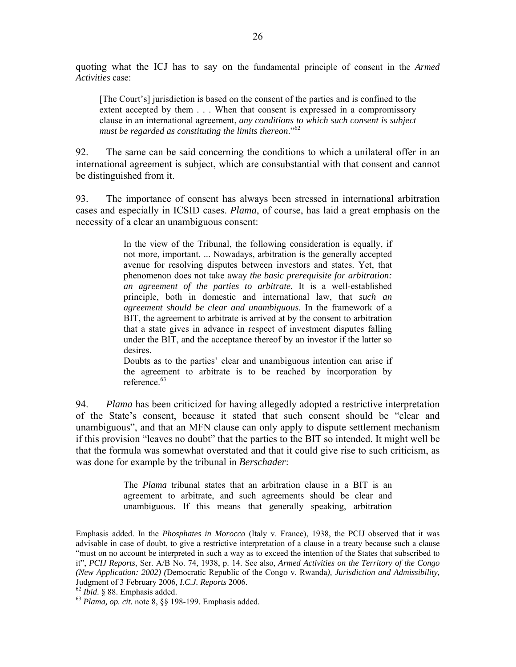quoting what the ICJ has to say on the fundamental principle of consent in the *Armed Activities* case:

[The Court's] jurisdiction is based on the consent of the parties and is confined to the extent accepted by them . . . When that consent is expressed in a compromissory clause in an international agreement, *any conditions to which such consent is subject must be regarded as constituting the limits thereon*."62

92. The same can be said concerning the conditions to which a unilateral offer in an international agreement is subject, which are consubstantial with that consent and cannot be distinguished from it.

93. The importance of consent has always been stressed in international arbitration cases and especially in ICSID cases. *Plama*, of course, has laid a great emphasis on the necessity of a clear an unambiguous consent:

> In the view of the Tribunal, the following consideration is equally, if not more, important. ... Nowadays, arbitration is the generally accepted avenue for resolving disputes between investors and states. Yet, that phenomenon does not take away *the basic prerequisite for arbitration: an agreement of the parties to arbitrate.* It is a well-established principle, both in domestic and international law, that *such an agreement should be clear and unambiguous*. In the framework of a BIT, the agreement to arbitrate is arrived at by the consent to arbitration that a state gives in advance in respect of investment disputes falling under the BIT, and the acceptance thereof by an investor if the latter so desires.

> Doubts as to the parties' clear and unambiguous intention can arise if the agreement to arbitrate is to be reached by incorporation by reference<sup>63</sup>

94. *Plama* has been criticized for having allegedly adopted a restrictive interpretation of the State's consent, because it stated that such consent should be "clear and unambiguous", and that an MFN clause can only apply to dispute settlement mechanism if this provision "leaves no doubt" that the parties to the BIT so intended. It might well be that the formula was somewhat overstated and that it could give rise to such criticism, as was done for example by the tribunal in *Berschader*:

> The *Plama* tribunal states that an arbitration clause in a BIT is an agreement to arbitrate, and such agreements should be clear and unambiguous. If this means that generally speaking, arbitration

Emphasis added. In the *Phosphates in Morocco* (Italy v. France), 1938, the PCIJ observed that it was advisable in case of doubt, to give a restrictive interpretation of a clause in a treaty because such a clause "must on no account be interpreted in such a way as to exceed the intention of the States that subscribed to it", *PCIJ Reports*, Ser. A/B No. 74, 1938, p. 14. See also, *Armed Activities on the Territory of the Congo (New Application: 2002) (*Democratic Republic of the Congo v. Rwanda*), Jurisdiction and Admissibility,*  Judgment of 3 February 2006, *I.C.J. Reports* 2006.<br><sup>62</sup> *Ibid.* § 88. Emphasis added. <sup>63</sup> *Plama, op. cit.* note 8, §§ 198-199. Emphasis added.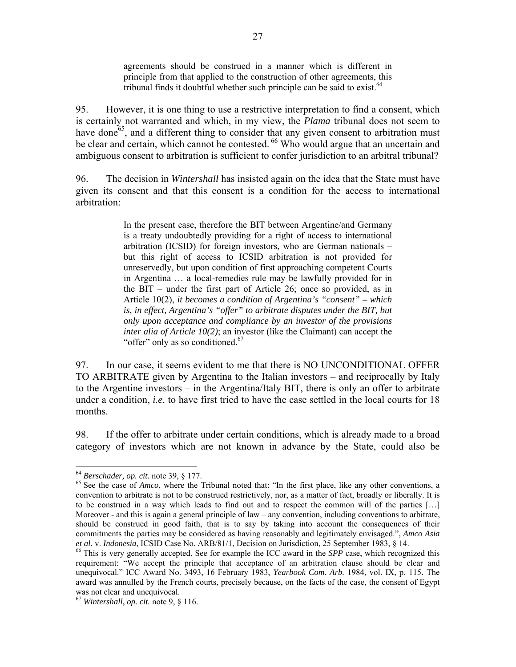agreements should be construed in a manner which is different in principle from that applied to the construction of other agreements, this tribunal finds it doubtful whether such principle can be said to exist.  $64$ 

95. However, it is one thing to use a restrictive interpretation to find a consent, which is certainly not warranted and which, in my view, the *Plama* tribunal does not seem to have done<sup>65</sup>, and a different thing to consider that any given consent to arbitration must be clear and certain, which cannot be contested. <sup>66</sup> Who would argue that an uncertain and ambiguous consent to arbitration is sufficient to confer jurisdiction to an arbitral tribunal?

96. The decision in *Wintershall* has insisted again on the idea that the State must have given its consent and that this consent is a condition for the access to international arbitration:

> In the present case, therefore the BIT between Argentine/and Germany is a treaty undoubtedly providing for a right of access to international arbitration (ICSID) for foreign investors, who are German nationals – but this right of access to ICSID arbitration is not provided for unreservedly, but upon condition of first approaching competent Courts in Argentina … a local-remedies rule may be lawfully provided for in the BIT – under the first part of Article 26; once so provided, as in Article 10(2), *it becomes a condition of Argentina's "consent" – which*  is, in effect, Argentina's "offer" to arbitrate disputes under the BIT, but *only upon acceptance and compliance by an investor of the provisions inter alia of Article 10(2)*; an investor (like the Claimant) can accept the "offer" only as so conditioned. $67$

97. In our case, it seems evident to me that there is NO UNCONDITIONAL OFFER TO ARBITRATE given by Argentina to the Italian investors – and reciprocally by Italy to the Argentine investors – in the Argentina/Italy BIT, there is only an offer to arbitrate under a condition, *i.e*. to have first tried to have the case settled in the local courts for 18 months.

98. If the offer to arbitrate under certain conditions, which is already made to a broad category of investors which are not known in advance by the State, could also be

<sup>&</sup>lt;sup>64</sup> *Berschader, op. cit.* note 39, § 177.<br><sup>65</sup> See the case of *Amco*, where the Tribunal noted that: "In the first place, like any other conventions, a convention to arbitrate is not to be construed restrictively, nor, as a matter of fact, broadly or liberally. It is to be construed in a way which leads to find out and to respect the common will of the parties […] Moreover - and this is again a general principle of law – any convention, including conventions to arbitrate, should be construed in good faith, that is to say by taking into account the consequences of their commitments the parties may be considered as having reasonably and legitimately envisaged.", *Amco Asia* 

<sup>&</sup>lt;sup>66</sup> This is very generally accepted. See for example the ICC award in the *SPP* case, which recognized this requirement: "We accept the principle that acceptance of an arbitration clause should be clear and unequivocal." ICC Award No. 3493, 16 February 1983, *Yearbook Com. Arb.* 1984, vol. IX, p. 115. The award was annulled by the French courts, precisely because, on the facts of the case, the consent of Egypt was not clear and unequivocal.

<sup>67</sup> *Wintershall*, *op. cit.* note 9, § 116.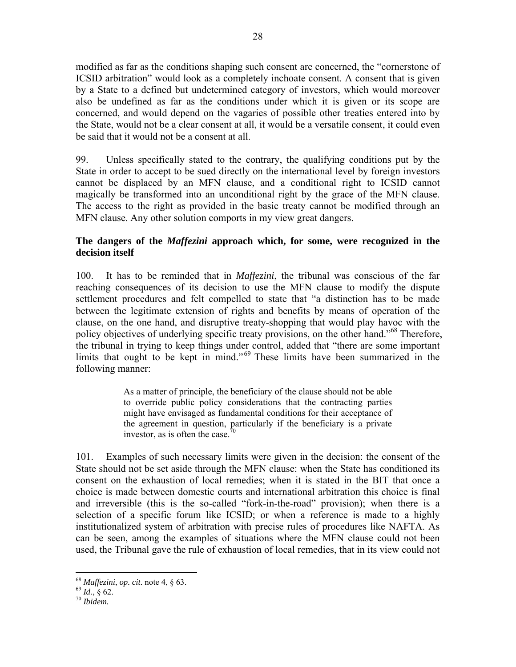modified as far as the conditions shaping such consent are concerned, the "cornerstone of ICSID arbitration" would look as a completely inchoate consent. A consent that is given by a State to a defined but undetermined category of investors, which would moreover also be undefined as far as the conditions under which it is given or its scope are concerned, and would depend on the vagaries of possible other treaties entered into by the State, would not be a clear consent at all, it would be a versatile consent, it could even be said that it would not be a consent at all.

99. Unless specifically stated to the contrary, the qualifying conditions put by the State in order to accept to be sued directly on the international level by foreign investors cannot be displaced by an MFN clause, and a conditional right to ICSID cannot magically be transformed into an unconditional right by the grace of the MFN clause. The access to the right as provided in the basic treaty cannot be modified through an MFN clause. Any other solution comports in my view great dangers.

## **The dangers of the** *Maffezini* **approach which, for some, were recognized in the decision itself**

100. It has to be reminded that in *Maffezini*, the tribunal was conscious of the far reaching consequences of its decision to use the MFN clause to modify the dispute settlement procedures and felt compelled to state that "a distinction has to be made between the legitimate extension of rights and benefits by means of operation of the clause, on the one hand, and disruptive treaty-shopping that would play havoc with the policy objectives of underlying specific treaty provisions, on the other hand.<sup>568</sup> Therefore, the tribunal in trying to keep things under control, added that "there are some important limits that ought to be kept in mind." 69 These limits have been summarized in the following manner:

> As a matter of principle, the beneficiary of the clause should not be able to override public policy considerations that the contracting parties might have envisaged as fundamental conditions for their acceptance of the agreement in question, particularly if the beneficiary is a private investor, as is often the case.<sup>70</sup>

101. Examples of such necessary limits were given in the decision: the consent of the State should not be set aside through the MFN clause: when the State has conditioned its consent on the exhaustion of local remedies; when it is stated in the BIT that once a choice is made between domestic courts and international arbitration this choice is final and irreversible (this is the so-called "fork-in-the-road" provision); when there is a selection of a specific forum like ICSID; or when a reference is made to a highly institutionalized system of arbitration with precise rules of procedures like NAFTA. As can be seen, among the examples of situations where the MFN clause could not been used, the Tribunal gave the rule of exhaustion of local remedies, that in its view could not

<sup>68</sup> *Maffezini*, *op. cit*. note 4, § 63. 69 *Id.*, § 62. 70 *Ibidem.*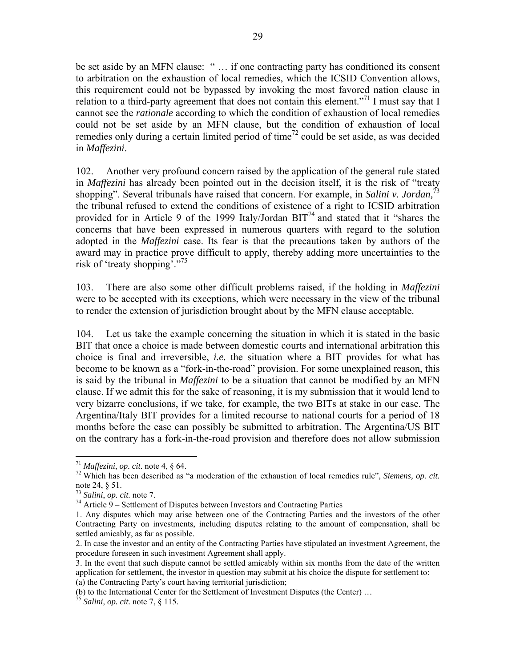be set aside by an MFN clause: " … if one contracting party has conditioned its consent to arbitration on the exhaustion of local remedies, which the ICSID Convention allows, this requirement could not be bypassed by invoking the most favored nation clause in relation to a third-party agreement that does not contain this element.<sup>"71</sup> I must say that I cannot see the *rationale* according to which the condition of exhaustion of local remedies could not be set aside by an MFN clause, but the condition of exhaustion of local remedies only during a certain limited period of time<sup>72</sup> could be set aside, as was decided in *Maffezini*.

102. Another very profound concern raised by the application of the general rule stated in *Maffezini* has already been pointed out in the decision itself, it is the risk of "treaty shopping". Several tribunals have raised that concern. For example, in *Salini v. Jordan,*<sup>73</sup> the tribunal refused to extend the conditions of existence of a right to ICSID arbitration provided for in Article 9 of the 1999 Italy/Jordan  $BIT<sup>74</sup>$  and stated that it "shares the concerns that have been expressed in numerous quarters with regard to the solution adopted in the *Maffezini* case. Its fear is that the precautions taken by authors of the award may in practice prove difficult to apply, thereby adding more uncertainties to the risk of 'treaty shopping'."75

103. There are also some other difficult problems raised, if the holding in *Maffezini* were to be accepted with its exceptions, which were necessary in the view of the tribunal to render the extension of jurisdiction brought about by the MFN clause acceptable.

104. Let us take the example concerning the situation in which it is stated in the basic BIT that once a choice is made between domestic courts and international arbitration this choice is final and irreversible, *i.e.* the situation where a BIT provides for what has become to be known as a "fork-in-the-road" provision. For some unexplained reason, this is said by the tribunal in *Maffezini* to be a situation that cannot be modified by an MFN clause. If we admit this for the sake of reasoning, it is my submission that it would lend to very bizarre conclusions, if we take, for example, the two BITs at stake in our case. The Argentina/Italy BIT provides for a limited recourse to national courts for a period of 18 months before the case can possibly be submitted to arbitration. The Argentina/US BIT on the contrary has a fork-in-the-road provision and therefore does not allow submission

<sup>71</sup> *Maffezini*, *op. cit*. note 4, § 64. 72 Which has been described as "a moderation of the exhaustion of local remedies rule", *Siemens, op. cit.* note 24,  $\S$  51.<br><sup>73</sup> Salini, op. cit. note 7.

<sup>&</sup>lt;sup>74</sup> Article 9 – Settlement of Disputes between Investors and Contracting Parties

<sup>1.</sup> Any disputes which may arise between one of the Contracting Parties and the investors of the other Contracting Party on investments, including disputes relating to the amount of compensation, shall be settled amicably, as far as possible.

<sup>2.</sup> In case the investor and an entity of the Contracting Parties have stipulated an investment Agreement, the procedure foreseen in such investment Agreement shall apply.

<sup>3.</sup> In the event that such dispute cannot be settled amicably within six months from the date of the written application for settlement, the investor in question may submit at his choice the dispute for settlement to: (a) the Contracting Party's court having territorial jurisdiction;

<sup>(</sup>b) to the International Center for the Settlement of Investment Disputes (the Center) … 75 *Salini*, *op. cit.* note 7, § 115.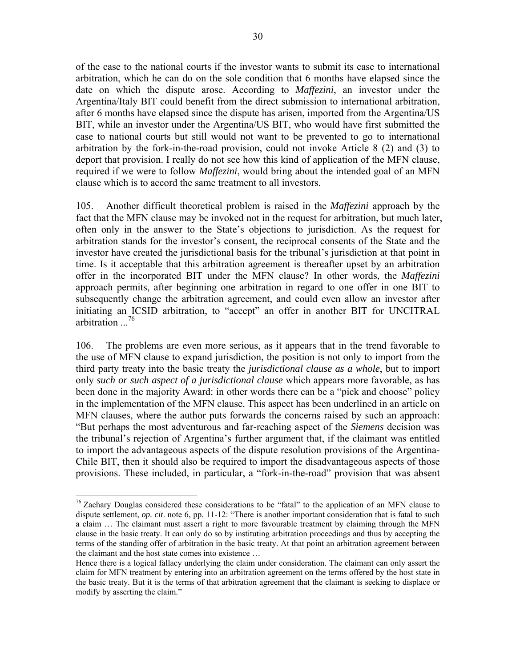of the case to the national courts if the investor wants to submit its case to international arbitration, which he can do on the sole condition that 6 months have elapsed since the date on which the dispute arose. According to *Maffezini*, an investor under the Argentina/Italy BIT could benefit from the direct submission to international arbitration, after 6 months have elapsed since the dispute has arisen, imported from the Argentina/US BIT, while an investor under the Argentina/US BIT, who would have first submitted the case to national courts but still would not want to be prevented to go to international arbitration by the fork-in-the-road provision, could not invoke Article 8 (2) and (3) to deport that provision. I really do not see how this kind of application of the MFN clause, required if we were to follow *Maffezini*, would bring about the intended goal of an MFN clause which is to accord the same treatment to all investors.

105. Another difficult theoretical problem is raised in the *Maffezini* approach by the fact that the MFN clause may be invoked not in the request for arbitration, but much later, often only in the answer to the State's objections to jurisdiction. As the request for arbitration stands for the investor's consent, the reciprocal consents of the State and the investor have created the jurisdictional basis for the tribunal's jurisdiction at that point in time. Is it acceptable that this arbitration agreement is thereafter upset by an arbitration offer in the incorporated BIT under the MFN clause? In other words, the *Maffezini* approach permits, after beginning one arbitration in regard to one offer in one BIT to subsequently change the arbitration agreement, and could even allow an investor after initiating an ICSID arbitration, to "accept" an offer in another BIT for UNCITRAL arbitration ...<sup>76</sup>

106. The problems are even more serious, as it appears that in the trend favorable to the use of MFN clause to expand jurisdiction, the position is not only to import from the third party treaty into the basic treaty the *jurisdictional clause as a whole*, but to import only *such or such aspect of a jurisdictional clause* which appears more favorable, as has been done in the majority Award: in other words there can be a "pick and choose" policy in the implementation of the MFN clause. This aspect has been underlined in an article on MFN clauses, where the author puts forwards the concerns raised by such an approach: "But perhaps the most adventurous and far-reaching aspect of the *Siemens* decision was the tribunal's rejection of Argentina's further argument that, if the claimant was entitled to import the advantageous aspects of the dispute resolution provisions of the Argentina-Chile BIT, then it should also be required to import the disadvantageous aspects of those provisions. These included, in particular, a "fork-in-the-road" provision that was absent

<sup>&</sup>lt;sup>76</sup> Zachary Douglas considered these considerations to be "fatal" to the application of an MFN clause to dispute settlement, *op. cit*. note 6, pp. 11-12: "There is another important consideration that is fatal to such a claim … The claimant must assert a right to more favourable treatment by claiming through the MFN clause in the basic treaty. It can only do so by instituting arbitration proceedings and thus by accepting the terms of the standing offer of arbitration in the basic treaty. At that point an arbitration agreement between the claimant and the host state comes into existence …

Hence there is a logical fallacy underlying the claim under consideration. The claimant can only assert the claim for MFN treatment by entering into an arbitration agreement on the terms offered by the host state in the basic treaty. But it is the terms of that arbitration agreement that the claimant is seeking to displace or modify by asserting the claim."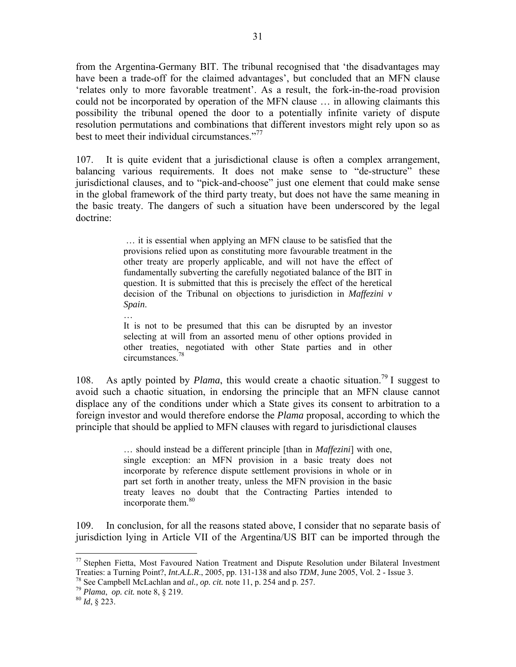from the Argentina-Germany BIT. The tribunal recognised that 'the disadvantages may have been a trade-off for the claimed advantages', but concluded that an MFN clause 'relates only to more favorable treatment'. As a result, the fork-in-the-road provision could not be incorporated by operation of the MFN clause … in allowing claimants this possibility the tribunal opened the door to a potentially infinite variety of dispute resolution permutations and combinations that different investors might rely upon so as best to meet their individual circumstances."<sup>77</sup>

107. It is quite evident that a jurisdictional clause is often a complex arrangement, balancing various requirements. It does not make sense to "de-structure" these jurisdictional clauses, and to "pick-and-choose" just one element that could make sense in the global framework of the third party treaty, but does not have the same meaning in the basic treaty. The dangers of such a situation have been underscored by the legal doctrine:

> … it is essential when applying an MFN clause to be satisfied that the provisions relied upon as constituting more favourable treatment in the other treaty are properly applicable, and will not have the effect of fundamentally subverting the carefully negotiated balance of the BIT in question. It is submitted that this is precisely the effect of the heretical decision of the Tribunal on objections to jurisdiction in *Maffezini v Spain*.

> It is not to be presumed that this can be disrupted by an investor selecting at will from an assorted menu of other options provided in other treaties, negotiated with other State parties and in other circumstances.

108. As aptly pointed by *Plama*, this would create a chaotic situation.<sup>79</sup> I suggest to avoid such a chaotic situation, in endorsing the principle that an MFN clause cannot displace any of the conditions under which a State gives its consent to arbitration to a foreign investor and would therefore endorse the *Plama* proposal, according to which the principle that should be applied to MFN clauses with regard to jurisdictional clauses

> … should instead be a different principle [than in *Maffezini*] with one, single exception: an MFN provision in a basic treaty does not incorporate by reference dispute settlement provisions in whole or in part set forth in another treaty, unless the MFN provision in the basic treaty leaves no doubt that the Contracting Parties intended to incorporate them.<sup>80</sup>

109. In conclusion, for all the reasons stated above, I consider that no separate basis of jurisdiction lying in Article VII of the Argentina/US BIT can be imported through the

…

1

<sup>&</sup>lt;sup>77</sup> Stephen Fietta, Most Favoured Nation Treatment and Dispute Resolution under Bilateral Investment Treaties: a Turning Point?, *Int.A.L.R.*, 2005, pp. 131-138 and also *TDM*, June 2005, Vol. 2 - Issue 3.<br><sup>78</sup> See Campbell McLachlan and *al.*, *op. cit.* note 11, p. 254 and p. 257.<br><sup>79</sup> Plama, *op. cit.* note 8, § 219.<br>